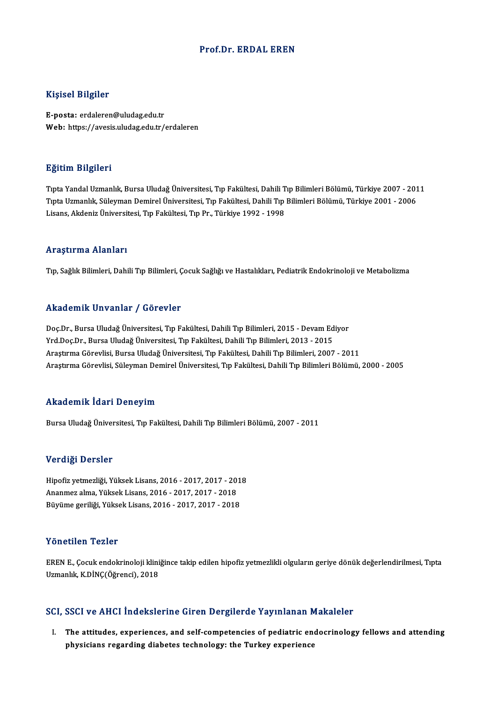### Prof.Dr. ERDAL EREN

### Kişisel Bilgiler

E-posta: erdaleren@uludag.edu.tr Web: https://avesis.uludag.edu.tr/erdaleren

### Eğitim Bilgileri

**Eğitim Bilgileri**<br>Tıpta Yandal Uzmanlık, Bursa Uludağ Üniversitesi, Tıp Fakültesi, Dahili Tıp Bilimleri Bölümü, Türkiye 2007 - 2011<br>Tıpta Uzmanlık, Süleyman Demirel Üniversitesi, Tıp Fakültesi, Dahili Tıp Bilimleri Bölümü Eşitim Birgirori<br>Tıpta Yandal Uzmanlık, Bursa Uludağ Üniversitesi, Tıp Fakültesi, Dahili Tıp Bilimleri Bölümü, Türkiye 2007 - 201<br>Tıpta Uzmanlık, Süleyman Demirel Üniversitesi, Tıp Fakültesi, Dahili Tıp Bilimleri Bölümü, T Tıpta Uzmanlık, Süleyman Demirel Üniversitesi, Tıp Fakültesi, Dahili Tıp Bilimleri Bölümü, Türkiye 2001 - 2006<br>Lisans, Akdeniz Üniversitesi, Tıp Fakültesi, Tıp Pr., Türkiye 1992 - 1998

### Araştırma Alanları

Tıp, Sağlık Bilimleri, Dahili Tıp Bilimleri, Çocuk Sağlığı ve Hastalıkları, Pediatrik Endokrinoloji ve Metabolizma

## Akademik Unvanlar / Görevler

Akademik Unvanlar / Görevler<br>Doç.Dr., Bursa Uludağ Üniversitesi, Tıp Fakültesi, Dahili Tıp Bilimleri, 2015 - Devam Ediyor<br>Yrd Doc.Dr., Bursa Uludağ Üniversitesi, Tıp Fakültesi, Dahili Tıp Bilimleri, 2013 - 2015 Yrkuu Shrik Shvuniur ", "d'or svier"<br>Doç.Dr., Bursa Uludağ Üniversitesi, Tıp Fakültesi, Dahili Tıp Bilimleri, 2015 - Devam Ed<br>Yrd.Doç.Dr., Bursa Uludağ Üniversitesi, Tıp Fakültesi, Dahili Tıp Bilimleri, 2013 - 2015<br>Arastır Doç.Dr., Bursa Uludağ Üniversitesi, Tıp Fakültesi, Dahili Tıp Bilimleri, 2015 - Devam Ediyor<br>Yrd.Doç.Dr., Bursa Uludağ Üniversitesi, Tıp Fakültesi, Dahili Tıp Bilimleri, 2013 - 2015<br>Araştırma Görevlisi, Bursa Uludağ Üniver Yrd.Doç.Dr., Bursa Uludağ Üniversitesi, Tıp Fakültesi, Dahili Tıp Bilimleri, 2013 - 2015<br>Araştırma Görevlisi, Bursa Uludağ Üniversitesi, Tıp Fakültesi, Dahili Tıp Bilimleri, 2007 - 2011<br>Araştırma Görevlisi, Süleyman Demire Araştırma Görevlisi, Süleyman Demirel Üniversitesi, Tıp Fakültesi, Dahili Tıp Bilimleri Bölümü, 2000 - 2005<br>Akademik İdari Deneyim

Bursa Uludağ Üniversitesi, Tıp Fakültesi, Dahili Tıp Bilimleri Bölümü, 2007 - 2011

### Verdiği Dersler

Verdi<mark>ği Dersler</mark><br>Hipofiz yetmezliği, Yüksek Lisans, 2016 - 2017, 2017 - 2018<br>Ananmez alma Vülsek Lisans, 2016 - 2017, 2017, 2018 v er dr<sub>ið</sub>r *1*00 orðfer<br>Hipofiz yetmezliği, Yüksek Lisans, 2016 - 2017, 2017 - 201<br>Ananmez alma, Yüksek Lisans, 2016 - 2017, 2017 - 2018<br>Büyüme geriliği, Vüksek Lisans, 2016 - 2017, 2017 - 2018 Hipofiz yetmezliği, Yüksek Lisans, 2016 - 2017, 2017 - 201<br>Ananmez alma, Yüksek Lisans, 2016 - 2017, 2017 - 2018<br>Büyüme geriliği, Yüksek Lisans, 2016 - 2017, 2017 - 2018 Büyüme geriliği, Yüksek Lisans, 2016 - 2017, 2017 - 2018<br>Yönetilen Tezler

Yönetilen Tezler<br>EREN E., Çocuk endokrinoloji kliniğince takip edilen hipofiz yetmezlikli olguların geriye dönük değerlendirilmesi, Tıpta<br>Uzmanlık K.DİNG(Öğrengi), 2019 1 Oncenen 1 Once<br>EREN E., Çocuk endokrinoloji klini<br>Uzmanlık, K.DİNÇ(Öğrenci), 2018 Uzmanlık, K.DİNÇ(Öğrenci), 2018<br>SCI, SSCI ve AHCI İndekslerine Giren Dergilerde Yayınlanan Makaleler

CI, SSCI ve AHCI İndekslerine Giren Dergilerde Yayınlanan Makaleler<br>I. The attitudes, experiences, and self-competencies of pediatric endocrinology fellows and attending<br>I. The attitudes, experiences, and self-competencies physicians regarding diabetes technology: the Turkey experiences<br>physicians regarding diabetes technology: the Turkey experience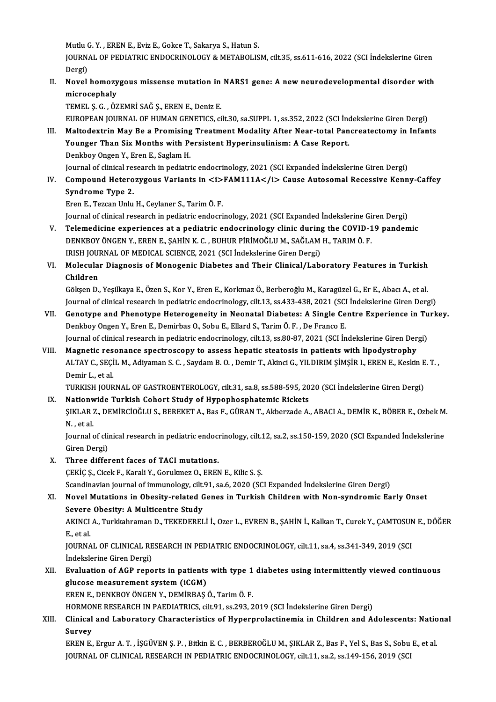Mutlu G. Y. , EREN E., Eviz E., Gokce T., Sakarya S., Hatun S.<br>JOUPNAL OF PEDIATRIC ENDOCRINOLOCY & METAROLIS

JOURNAL OF PEDIATRIC ENDOCRINOLOGY & METABOLISM, cilt.35, ss.611-616, 2022 (SCI İndekslerine Giren<br>Dergi) Mutlu (<br>JOURN<br>Dergi)<br>Novol JOURNAL OF PEDIATRIC ENDOCRINOLOGY & METABOLISM, cilt.35, ss.611-616, 2022 (SCI İndekslerine Giren<br>Dergi)<br>II. Novel homozygous missense mutation in NARS1 gene: A new neurodevelopmental disorder with<br>misrosophely

Dergi)<br>Novel homozy<br>microcephaly<br>TEMELS GOÖZ Novel homozygous missense mutation in<br>microcephaly<br>TEMEL Ş. G. , ÖZEMRİ SAĞ Ş., EREN E., Deniz E.<br>FUROPEAN JOUPNAL OF HUMAN CENETICS Sİ

microcephaly<br>TEMEL Ş. G. , ÖZEMRİ SAĞ Ş., EREN E., Deniz E.<br>EUROPEAN JOURNAL OF HUMAN GENETICS, cilt.30, sa.SUPPL 1, ss.352, 2022 (SCI İndekslerine Giren Dergi)

III. Maltodextrin May Be a Promising Treatment Modality After Near-total Pancreatectomy in Infants EUROPEAN JOURNAL OF HUMAN GENETICS, cilt.30, sa.SUPPL 1, ss.352, 2022 (SCI Ind<br>Maltodextrin May Be a Promising Treatment Modality After Near-total Pan<br>Younger Than Six Months with Persistent Hyperinsulinism: A Case Report. Maltodextrin May Be a Promising<br>Younger Than Six Months with Pe<br>Denkboy Ongen Y., Eren E., Saglam H.<br>Journal of clinical researsh in nedistri Younger Than Six Months with Persistent Hyperinsulinism: A Case Report.<br>Denkboy Ongen Y., Eren E., Saglam H.<br>Journal of clinical research in pediatric endocrinology, 2021 (SCI Expanded İndekslerine Giren Dergi)<br>Compound He

Denkboy Ongen Y., Eren E., Saglam H.<br>Journal of clinical research in pediatric endocrinology, 2021 (SCI Expanded Indekslerine Giren Dergi)<br>IV. Compound Heterozygous Variants in *<i>FAM111A</i>* Cause Autosomal Recessive Ke Journal of clinical res<br>Compound Hetero<br>Syndrome Type 2.<br>Fren E. Texcen Unlu S<mark>yndrome Type 2.</mark><br>Eren E., Tezcan Unlu H., Ceylaner S., Tarim Ö. F.<br>Journal of clinical research in pediatric endocrinology, 2021 (SCI Expanded İndekslerine Giren Dergi)<br>Telemedisine experienses at a pediatris endocrinolo

ErenE.,TezcanUnluH.,Ceylaner S.,TarimÖ.F.

- Eren E., Tezcan Unlu H., Ceylaner S., Tarim Ö. F.<br>Journal of clinical research in pediatric endocrinology, 2021 (SCI Expanded Indekslerine Giren Dergi)<br>V. Telemedicine experiences at a pediatric endocrinology clinic during Journal of clinical research in pediatric endocrinology, 2021 (SCI Expanded İndekslerine Gi<br>Telemedicine experiences at a pediatric endocrinology clinic during the COVID-1<br>DENKBOY ÖNGEN Y., EREN E., ŞAHİN K. C. , BUHUR PİR V. Telemedicine experiences at a pediatric endocrinology clinic during the COVID-19 pandemic<br>DENKBOY ÖNGEN Y., EREN E., ŞAHİN K. C. , BUHUR PİRİMOĞLU M., SAĞLAM H., TARIM Ö. F.<br>IRISH JOURNAL OF MEDICAL SCIENCE, 2021 (SCI İ DENKBOY ÖNGEN Y., EREN E., ŞAHİN K. C. , BUHUR PİRİMOĞLU M., SAĞLAM H., TARIM Ö. F.<br>IRISH JOURNAL OF MEDICAL SCIENCE, 2021 (SCI İndekslerine Giren Dergi)<br>VI. Molecular Diagnosis of Monogenic Diabetes and Their Clinical/Lab
- IRISH JOU<mark>l</mark><br>Molecula<br>Children<br>Gälsen D Molecular Diagnosis of Monogenic Diabetes and Their Clinical/Laboratory Features in Turkish<br>Children<br>Gökşen D., Yeşilkaya E., Özen S., Kor Y., Eren E., Korkmaz Ö., Berberoğlu M., Karagüzel G., Er E., Abacı A., et al.<br>Journ

Children<br>Gökşen D., Yeşilkaya E., Özen S., Kor Y., Eren E., Korkmaz Ö., Berberoğlu M., Karagüzel G., Er E., Abacı A., et al.<br>Journal of clinical research in pediatric endocrinology, cilt.13, ss.433-438, 2021 (SCI İndeksler Gökşen D., Yeşilkaya E., Özen S., Kor Y., Eren E., Korkmaz Ö., Berberoğlu M., Karagüzel G., Er E., Abacı A., et al.<br>Journal of clinical research in pediatric endocrinology, cilt.13, ss.433-438, 2021 (SCI İndekslerine Giren

- Journal of clinical research in pediatric endocrinology, cilt.13, ss.433-438, 2021 (SCI)<br>Genotype and Phenotype Heterogeneity in Neonatal Diabetes: A Single Ce<br>Denkboy Ongen Y., Eren E., Demirbas O., Sobu E., Ellard S., Ta Genotype and Phenotype Heterogeneity in Neonatal Diabetes: A Single Centre Experience in Tu<br>Denkboy Ongen Y., Eren E., Demirbas O., Sobu E., Ellard S., Tarim Ö. F. , De Franco E.<br>Journal of clinical research in pediatric e Denkboy Ongen Y., Eren E., Demirbas O., Sobu E., Ellard S., Tarim Ö. F. , De Franco E.<br>Journal of clinical research in pediatric endocrinology, cilt.13, ss.80-87, 2021 (SCI İndekslerine Giren Dergi)<br>VIII. Magnetic resonanc
- Journal of clinical research in pediatric endocrinology, cilt.13, ss.80-87, 2021 (SCI İndekslerine Giren Dergi)<br>Magnetic resonance spectroscopy to assess hepatic steatosis in patients with lipodystrophy<br>ALTAY C., SEÇİL M., Demir L., et al. ALTAY C., SEÇİL M., Adiyaman S. C. , Saydam B. O. , Demir T., Akinci G., YILDIRIM ŞİMŞİR I., EREN E., Keskin E<br>Demir L., et al.<br>TURKISH JOURNAL OF GASTROENTEROLOGY, cilt.31, sa.8, ss.588-595, 2020 (SCI İndekslerine Giren D Demir L., et al.<br>
IV. TURKISH JOURNAL OF GASTROENTEROLOGY, cilt.31, sa.8, ss.588-595, 20<br>
IX. Nationwide Turkish Cohort Study of Hypophosphatemic Rickets<br>
SIVIAR Z. DEMIRCIOČLUS, REPEVET A. Pas E. CÜRAN T. Althorrade A.

TURKISH JOURNAL OF GASTROENTEROLOGY, cilt.31, sa.8, ss.588-595, 2020 (SCI İndekslerine Giren Dergi)<br><mark>Nationwide Turkish Cohort Study of Hypophosphatemic Rickets</mark><br>ŞIKLAR Z., DEMİRCİOĞLU S., BEREKET A., Bas F., GÜRAN T., Akb IX. Nationwide Turkish Cohort Study of Hypophosphatemic Rickets<br>SIKLAR Z., DEMIRCIOĞLU S., BEREKET A., Bas F., GÜRAN T., Akberzade A.<br>N. . et al.

ŞIKLAR Z., DEMİRCİOĞLU S., BEREKET A., Bas F., GÜRAN T., Akberzade A., ABACI A., DEMİR K., BÖBER E., Ozbek M.<br>N. , et al.<br>Journal of clinical research in pediatric endocrinology, cilt.12, sa.2, ss.150-159, 2020 (SCI Expand Journal of clinical research in pediatric endocrinology, cilt.12, sa.2, ss.150-159, 2020 (SCI Expanded Indekslerine

X. Three different faces of TACImutations.

ÇEKİÇ Ş., Cicek F., Karali Y., Gorukmez O., EREN E., Kilic S. Ş.

Scandinavian journal of immunology, cilt.91, sa.6, 2020 (SCI Expanded İndekslerine Giren Dergi)

# CEKİÇ Ş., Cicek F., Karali Y., Gorukmez O., EREN E., Kilic S. Ş.<br>Scandinavian journal of immunology, cilt.91, sa.6, 2020 (SCI Expanded İndekslerine Giren Dergi)<br>XI. Novel Mutations in Obesity-related Genes in Turkish Child Scandinavian journal of immunology, cilt.<br>Novel Mutations in Obesity-related C<br>Severe Obesity: A Multicentre Study<br>AKINCLA, Turkkahraman D. TEKEDEREL Novel Mutations in Obesity-related Genes in Turkish Children with Non-syndromic Early Onset<br>Severe Obesity: A Multicentre Study<br>AKINCI A., Turkkahraman D., TEKEDERELİ İ., Ozer L., EVREN B., ŞAHİN İ., Kalkan T., Curek Y., Ç

Severe Obesity: A Multicentre Study<br>AKINCI A., Turkkahraman D., TEKEDEREI<br>E., et al. AKINCI A., Turkkahraman D., TEKEDERELİ İ., Ozer L., EVREN B., ŞAHİN İ., Kalkan T., Curek Y., ÇAMTOSUN E., DÖĞER<br>E., et al.<br>JOURNAL OF CLINICAL RESEARCH IN PEDIATRIC ENDOCRINOLOGY, cilt.11, sa.4, ss.341-349, 2019 (SCI<br>İndek

JOURNAL OF CLINICAL RESEARCH IN PEDIATRIC ENDOCRINOLOGY, cilt.11, sa.4, ss.341-349, 2019 (SCI JOURNAL OF CLINICAL RESEARCH IN PEDIATRIC ENDOCRINOLOGY, cilt.11, sa.4, ss.341-349, 2019 (SCI<br>Indekslerine Giren Dergi)<br>XII. Evaluation of AGP reports in patients with type 1 diabetes using intermittently viewed continuous

indekslerine Giren Dergi)<br>Evaluation of AGP reports in patients<br>glucose measurement system (iCGM)<br>ERENE DENKROVÖNCEN V. DEMIRAS 4 glucose measurement system (iCGM)<br>EREN E., DENKBOY ÖNGEN Y., DEMİRBAŞ Ö., Tarim Ö. F. glucose measurement system (iCGM)<br>EREN E., DENKBOY ÖNGEN Y., DEMİRBAŞ Ö., Tarim Ö. F.<br>HORMONE RESEARCH IN PAEDIATRICS, cilt.91, ss.293, 2019 (SCI İndekslerine Giren Dergi)<br>Clinical and Labaratary Characteristics of Hynorpr

# EREN E., DENKBOY ÖNGEN Y., DEMİRBAŞ Ö., Tarim Ö. F.<br>HORMONE RESEARCH IN PAEDIATRICS, cilt.91, ss.293, 2019 (SCI İndekslerine Giren Dergi)<br>XIII. Clinical and Laboratory Characteristics of Hyperprolactinemia in Children HORMOI<br>Clinical<br>Survey<br>EDEN E Clinical and Laboratory Characteristics of Hyperprolactinemia in Children and Adolescents: Natio<br>Survey<br>EREN E., Ergur A. T. , İŞGÜVEN Ş. P. , Bitkin E. C. , BERBEROĞLU M., ŞIKLAR Z., Bas F., Yel S., Bas S., Sobu E., et al

Survey<br>EREN E., Ergur A. T. , İŞGÜVEN Ş. P. , Bitkin E. C. , BERBEROĞLU M., ŞIKLAR Z., Bas F., Yel S., Bas S., Sobu E., et al.<br>JOURNAL OF CLINICAL RESEARCH IN PEDIATRIC ENDOCRINOLOGY, cilt.11, sa.2, ss.149-156, 2019 (SCI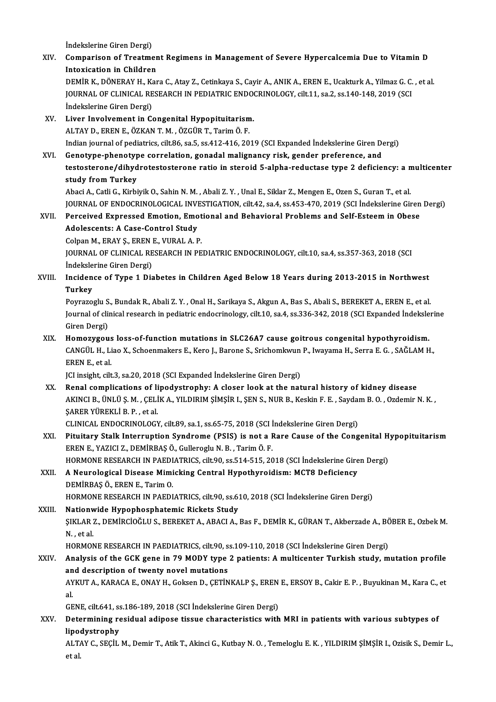İndekslerine Giren Dergi)<br>Companison of Treatme

|        | Indekslerine Giren Dergi)                                                                                                 |
|--------|---------------------------------------------------------------------------------------------------------------------------|
| XIV.   | Comparison of Treatment Regimens in Management of Severe Hypercalcemia Due to Vitamin D                                   |
|        | <b>Intoxication in Children</b>                                                                                           |
|        | DEMİR K., DÖNERAY H., Kara C., Atay Z., Cetinkaya S., Cayir A., ANIK A., EREN E., Ucakturk A., Yilmaz G. C., et al.       |
|        | JOURNAL OF CLINICAL RESEARCH IN PEDIATRIC ENDOCRINOLOGY, cilt.11, sa.2, ss.140-148, 2019 (SCI                             |
|        | İndekslerine Giren Dergi)                                                                                                 |
| XV.    | Liver Involvement in Congenital Hypopituitarism.                                                                          |
|        | ALTAY D., EREN E., ÖZKAN T. M., ÖZGÜR T., Tarim Ö. F.                                                                     |
|        | Indian journal of pediatrics, cilt.86, sa.5, ss.412-416, 2019 (SCI Expanded Indekslerine Giren Dergi)                     |
| XVI.   | Genotype-phenotype correlation, gonadal malignancy risk, gender preference, and                                           |
|        | testosterone/dihydrotestosterone ratio in steroid 5-alpha-reductase type 2 deficiency: a multicenter                      |
|        | study from Turkey                                                                                                         |
|        | Abaci A., Catli G., Kirbiyik O., Sahin N. M., Abali Z. Y., Unal E., Siklar Z., Mengen E., Ozen S., Guran T., et al.       |
|        | JOURNAL OF ENDOCRINOLOGICAL INVESTIGATION, cilt.42, sa.4, ss.453-470, 2019 (SCI İndekslerine Giren Dergi)                 |
| XVII.  | Perceived Expressed Emotion, Emotional and Behavioral Problems and Self-Esteem in Obese                                   |
|        | Adolescents: A Case-Control Study                                                                                         |
|        | Colpan M., ERAY Ş., EREN E., VURAL A. P.                                                                                  |
|        | JOURNAL OF CLINICAL RESEARCH IN PEDIATRIC ENDOCRINOLOGY, cilt.10, sa.4, ss.357-363, 2018 (SCI                             |
|        | Indekslerine Giren Dergi)                                                                                                 |
| XVIII. | Incidence of Type 1 Diabetes in Children Aged Below 18 Years during 2013-2015 in Northwest                                |
|        | <b>Turkey</b>                                                                                                             |
|        | Poyrazoglu S., Bundak R., Abali Z. Y., Onal H., Sarikaya S., Akgun A., Bas S., Abali S., BEREKET A., EREN E., et al.      |
|        | Journal of clinical research in pediatric endocrinology, cilt.10, sa.4, ss.336-342, 2018 (SCI Expanded Indekslerine       |
|        | Giren Dergi)                                                                                                              |
| XIX.   | Homozygous loss-of-function mutations in SLC26A7 cause goitrous congenital hypothyroidism.                                |
|        | CANGÜL H., Liao X., Schoenmakers E., Kero J., Barone S., Srichomkwun P., Iwayama H., Serra E. G., SAĞLAM H.,              |
|        | EREN E, et al.                                                                                                            |
|        | JCI insight, cilt.3, sa.20, 2018 (SCI Expanded Indekslerine Giren Dergi)                                                  |
| XX.    | Renal complications of lipodystrophy: A closer look at the natural history of kidney disease                              |
|        | , AKINCI B., ÜNLÜ Ş. M. , ÇELİK A., YILDIRIM ŞİMŞİR I., ŞEN S., NUR B., Keskin F. E. , Saydam B. O. , Ozdemir N           |
|        | SARER YÜREKLİ B. P., et al.                                                                                               |
|        | CLINICAL ENDOCRINOLOGY, cilt.89, sa.1, ss.65-75, 2018 (SCI Indekslerine Giren Dergi)                                      |
| XXI.   | Pituitary Stalk Interruption Syndrome (PSIS) is not a Rare Cause of the Congenital Hypopituitarism                        |
|        | EREN E., YAZICI Z., DEMİRBAŞ Ö., Gulleroglu N. B., Tarim Ö. F.                                                            |
|        | HORMONE RESEARCH IN PAEDIATRICS, cilt.90, ss.514-515, 2018 (SCI İndekslerine Giren Dergi)                                 |
| XXII.  | A Neurological Disease Mimicking Central Hypothyroidism: MCT8 Deficiency                                                  |
|        | DEMİRBAŞ Ö., EREN E., Tarim O.                                                                                            |
|        | HORMONE RESEARCH IN PAEDIATRICS, cilt.90, ss.610, 2018 (SCI Indekslerine Giren Dergi)                                     |
| XXIII. | Nationwide Hypophosphatemic Rickets Study                                                                                 |
|        | ŞIKLAR Z., DEMİRCİOĞLU S., BEREKET A., ABACI A., Bas F., DEMİR K., GÜRAN T., Akberzade A., BÖBER E., Ozbek M.             |
|        | $N$ , et al.                                                                                                              |
|        | HORMONE RESEARCH IN PAEDIATRICS, cilt.90, ss.109-110, 2018 (SCI Indekslerine Giren Dergi)                                 |
| XXIV   | Analysis of the GCK gene in 79 MODY type 2 patients: A multicenter Turkish study, mutation profile                        |
|        | and description of twenty novel mutations                                                                                 |
|        | AYKUT A., KARACA E., ONAY H., Goksen D., ÇETİNKALP Ş., EREN E., ERSOY B., Cakir E. P., Buyukinan M., Kara C., et          |
|        | al.                                                                                                                       |
|        | GENE, cilt.641, ss.186-189, 2018 (SCI İndekslerine Giren Dergi)                                                           |
| XXV.   | Determining residual adipose tissue characteristics with MRI in patients with various subtypes of                         |
|        | lipodystrophy                                                                                                             |
|        | ALTAY C., SEÇİL M., Demir T., Atik T., Akinci G., Kutbay N. O., Temeloglu E. K., YILDIRIM ŞİMŞİR I., Ozisik S., Demir L., |
|        | et al.                                                                                                                    |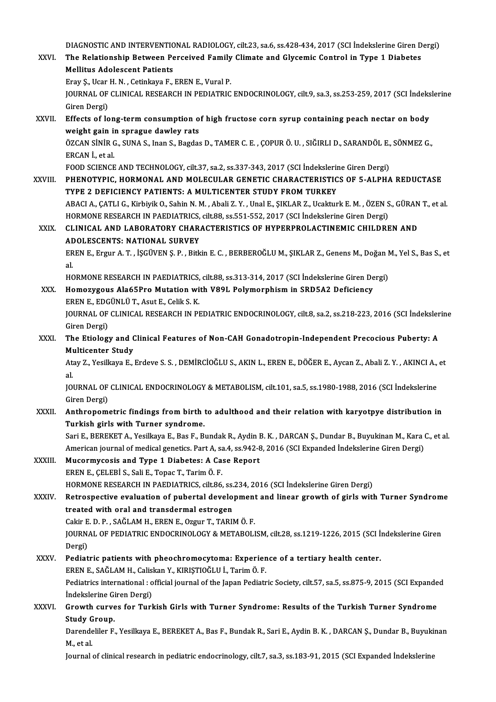DIAGNOSTIC AND INTERVENTIONAL RADIOLOGY, cilt.23, sa.6, ss.428-434, 2017 (SCI İndekslerine Giren Dergi)<br>The Belstionship Between Bengejyed Eamily Climate and Clysemis Centrel in Type 1 Diabetes

DIAGNOSTIC AND INTERVENTIONAL RADIOLOGY, cilt.23, sa.6, ss.428-434, 2017 (SCI İndekslerine Giren D<br>XXVI. The Relationship Between Perceived Family Climate and Glycemic Control in Type 1 Diabetes<br>Mellitue Adelessent Petient DIAGNOSTIC AND INTERVENTIC<br>The Relationship Between Pe<br>Mellitus Adolescent Patients<br>Frau S. Hear H. N. Getinkaug F The Relationship Between Perceived Family Climate and Glycemic Control in Type 1 Diabetes<br>Mellitus Adolescent Patients<br>Eray S., Ucar H. N. , Cetinkaya F., EREN E., Vural P.

Mellitus Adolescent Patients<br>Eray Ş., Ucar H. N. , Cetinkaya F., EREN E., Vural P.<br>JOURNAL OF CLINICAL RESEARCH IN PEDIATRIC ENDOCRINOLOGY, cilt.9, sa.3, ss.253-259, 2017 (SCI İndekslerine<br>Ciron Dergi) Eray Ş., Ucar<br>JOURNAL OF<br>Giren Dergi)<br>Effects of lo JOURNAL OF CLINICAL RESEARCH IN PEDIATRIC ENDOCRINOLOGY, cilt.9, sa.3, ss.253-259, 2017 (SCI İndeks<br>Giren Dergi)<br>XXVII. Effects of long-term consumption of high fructose corn syrup containing peach nectar on body<br>weight ga

Giren Dergi)<br>Effects of long-term consumption o<br>weight gain in sprague dawley rats<br>ÖZCAN SiNiP C, SINA S, Inan S, Bagda Effects of long-term consumption of high fructose corn syrup containing peach nectar on body<br>weight gain in sprague dawley rats<br>ÖZCAN SİNİR G., SUNA S., Inan S., Bagdas D., TAMER C. E. , ÇOPUR Ö. U. , SIĞIRLI D., SARANDÖL

**weight gain in<br>ÖZCAN SİNİR C<br>ERCAN İ., et al.**<br>EQOD SCIENCE ÖZCAN SİNİR G., SUNA S., Inan S., Bagdas D., TAMER C. E. , ÇOPUR Ö. U. , SIĞIRLI D., SARANDÖL E.,<br>ERCAN İ., et al.<br>FOOD SCIENCE AND TECHNOLOGY, cilt.37, sa.2, ss.337-343, 2017 (SCI İndekslerine Giren Dergi)<br>BHENOTYPIC, HOP

FOOD SCIENCE AND TECHNOLOGY, cilt.37, sa.2, ss.337-343, 2017 (SCI Indekslerine Giren Dergi)

ERCAN İ., et al.<br>FOOD SCIENCE AND TECHNOLOGY, cilt.37, sa.2, ss.337-343, 2017 (SCI İndekslerine Giren Dergi)<br>XXVIII. PHENOTYPIC, HORMONAL AND MOLECULAR GENETIC CHARACTERISTICS OF 5-ALPHA REDUCTASE<br>TYPE 2 DEFICIENCY PATIENT PHENOTYPIC, HORMONAL AND MOLECULAR GENETIC CHARACTERISTICS OF 5-ALPHA REDUCTASE<br>TYPE 2 DEFICIENCY PATIENTS: A MULTICENTER STUDY FROM TURKEY<br>ABACI A., ÇATLI G., Kirbiyik O., Sahin N. M. , Abali Z. Y. , Unal E., ŞIKLAR Z., U

TYPE 2 DEFICIENCY PATIENTS: A MULTICENTER STUDY FROM TURKEY<br>ABACI A., ÇATLI G., Kirbiyik O., Sahin N. M. , Abali Z. Y. , Unal E., ŞIKLAR Z., Ucakturk E. M. , ÖZEN S<br>HORMONE RESEARCH IN PAEDIATRICS, cilt.88, ss.551-552, 201 ABACI A., ÇATLI G., Kirbiyik O., Sahin N. M. , Abali Z. Y. , Unal E., ŞIKLAR Z., Ucakturk E. M. , ÖZEN S., GÜRAN<br>HORMONE RESEARCH IN PAEDIATRICS, cilt.88, ss.551-552, 2017 (SCI İndekslerine Giren Dergi)<br>XXIX. CLINICAL AND

# HORMONE RESEARCH IN PAEDIATRICS, cilt.88, ss.551-552, 2017 (SCI İndekslerine Giren Dergi)<br>CLINICAL AND LABORATORY CHARACTERISTICS OF HYPERPROLACTINEMIC CHILDREN AND<br>ADOLESCENTS: NATIONAL SURVEY CLINICAL AND LABORATORY CHARACTERISTICS OF HYPERPROLACTINEMIC CHILDREN AND<br>ADOLESCENTS: NATIONAL SURVEY<br>EREN E., Ergur A. T. , İŞGÜVEN Ş. P. , Bitkin E. C. , BERBEROĞLU M., ŞIKLAR Z., Genens M., Doğan M., Yel S., Bas S., e

AD<br>ER<br>al. EREN E., Ergur A. T. , İŞGÜVEN Ş. P. , Bitkin E. C. , BERBEROĞLU M., ŞIKLAR Z., Genens M., Doğan M<br>al.<br>HORMONE RESEARCH IN PAEDIATRICS, cilt.88, ss.313-314, 2017 (SCI İndekslerine Giren Dergi)<br>Homonygous Ala£EPre Mutation

- al.<br>HORMONE RESEARCH IN PAEDIATRICS, cilt.88, ss.313-314, 2017 (SCI İndekslerine Giren De<br>XXX. Homozygous Ala65Pro Mutation with V89L Polymorphism in SRD5A2 Deficiency<br>EREN E. EDCÜNI Ü.T. Acut E. Colik S. K HORMONE RESEARCH IN PAEDIATRICS,<br>Homozygous Ala65Pro Mutation wi<br>EREN E., EDGÜNLÜ T., Asut E., Celik S. K.<br>JOUPNAL OF CLINICAL PESEARCH IN PL Homozygous Ala65Pro Mutation with V89L Polymorphism in SRD5A2 Deficiency<br>EREN E., EDGÜNLÜ T., Asut E., Celik S. K.<br>JOURNAL OF CLINICAL RESEARCH IN PEDIATRIC ENDOCRINOLOGY, cilt.8, sa.2, ss.218-223, 2016 (SCI İndekslerine<br>C EREN E., EDG<br>JOURNAL OF<br>Giren Dergi)<br>The Ftieles
- JOURNAL OF CLINICAL RESEARCH IN PEDIATRIC ENDOCRINOLOGY, cilt.8, sa.2, ss.218-223, 2016 (SCI İndeksler<br>Giren Dergi)<br>XXXI. The Etiology and Clinical Features of Non-CAH Gonadotropin-Independent Precocious Puberty: A<br>Multise Giren Dergi)<br>The Etiology and Clinical Features of Non-CAH Gonadotropin-Independent Precocious Puberty: A<br>Multicenter Study The Etiology and Clinical Features of Non-CAH Gonadotropin-Independent Precocious Puberty: A<br>Multicenter Study<br>Atay Z., Yesilkaya E., Erdeve S. S. , DEMİRCİOĞLU S., AKIN L., EREN E., DÖĞER E., Aycan Z., Abali Z. Y. , AKINC

Mu<br>At:<br>al Atay Z., Yesilkaya E., Erdeve S. S. , DEMİRCİOĞLU S., AKIN L., EREN E., DÖĞER E., Aycan Z., Abali Z. Y. , AKINCI A.,<br>al.<br>JOURNAL OF CLINICAL ENDOCRINOLOGY & METABOLISM, cilt.101, sa.5, ss.1980-1988, 2016 (SCI İndekslerine<br>

al.<br>JOURNAL OF<br>Giren Dergi)<br>Anthronom JOURNAL OF CLINICAL ENDOCRINOLOGY & METABOLISM, cilt.101, sa.5, ss.1980-1988, 2016 (SCI Indekslerine<br>Giren Dergi)<br>XXXII. Anthropometric findings from birth to adulthood and their relation with karyotpye distribution in<br>Tur

Giren Dergi)<br>Anthropometric findings from birth to adulthood and their relation with karyotpye distribution in<br>Turkish girls with Turner syndrome.

Sari E., BEREKET A., Yesilkaya E., Bas F., Bundak R., Aydin B. K., DARCAN Ş., Dundar B., Buyukinan M., Kara C., et al. Turkish girls with Turner syndrome.<br>Sari E., BEREKET A., Yesilkaya E., Bas F., Bundak R., Aydin B. K. , DARCAN Ş., Dundar B., Buyukinan M., Kara (<br>American journal of medical genetics. Part A, sa.4, ss.942-8, 2016 (SCI Exp Sari E., BEREKET A., Yesilkaya E., Bas F., Bundak R., Aydin I<br>American journal of medical genetics. Part A, sa.4, ss.942-6<br>XXXIII. Mucormycosis and Type 1 Diabetes: A Case Report

# American journal of medical genetics. Part A, sa.<br>Mucormycosis and Type 1 Diabetes: A Ca.<br>EREN E., ÇELEBİ S., Sali E., Topac T., Tarim Ö. F.<br>HOPMONE PESEARCH IN PAEDIATRICS. sil: 96 Mucormycosis and Type 1 Diabetes: A Case Report<br>EREN E., ÇELEBİ S., Sali E., Topac T., Tarim Ö. F.<br>HORMONE RESEARCH IN PAEDIATRICS, cilt.86, ss.234, 2016 (SCI İndekslerine Giren Dergi)

# EREN E., ÇELEBİ S., Sali E., Topac T., Tarim Ö. F.<br>HORMONE RESEARCH IN PAEDIATRICS, cilt.86, ss.234, 2016 (SCI İndekslerine Giren Dergi)<br>XXXIV. Retrospective evaluation of pubertal development and linear growth of girl HORMONE RESEARCH IN PAEDIATRICS, cilt.86, ss.<br>Retrospective evaluation of pubertal develop<br>treated with oral and transdermal estrogen<br>Cakir E.D. B. SAČLAM H. EREN E. OZZUR T. TABU Retrospective evaluation of pubertal development<br>treated with oral and transdermal estrogen<br>Cakir E. D. P. , SAĞLAM H., EREN E., Ozgur T., TARIM Ö. F.<br>JOUPMAL OF PEDIATPIC ENDOCPINOLOCY & METAROLI

treated with oral and transdermal estrogen<br>Cakir E. D. P. , SAĞLAM H., EREN E., Ozgur T., TARIM Ö. F.<br>JOURNAL OF PEDIATRIC ENDOCRINOLOGY & METABOLISM, cilt.28, ss.1219-1226, 2015 (SCI İndekslerine Giren<br>Persi) Cakir E<br>JOURN<br>Dergi)<br>Pediat JOURNAL OF PEDIATRIC ENDOCRINOLOGY & METABOLISM, cilt.28, ss.1219-1226, 2015 (SCI In<br>Dergi)<br>XXXV. Pediatric patients with pheochromocytoma: Experience of a tertiary health center.

## Dergi)<br>Pediatric patients with pheochromocytoma: Experience of a tertiary health center. EREN E., SAĞLAM H., Caliskan Y., KIRISTIOĞLU İ., Tarim Ö. F.

Pediatrics international : official journal of the Japan Pediatric Society, cilt.57, sa.5, ss.875-9, 2015 (SCI Expanded Indekslerine Giren Dergi) Pediatrics international : official journal of the Japan Pediatric Society, cilt.57, sa.5, ss.875-9, 2015 (SCI Expande<br>Indekslerine Giren Dergi)<br>XXXVI. Growth curves for Turkish Girls with Turner Syndrome: Results of the T

Indekslerine Gi<br>Growth curve<br>Study Group.<br>Derendeliler E Growth curves for Turkish Girls with Turner Syndrome: Results of the Turkish Turner Syndrome<br>Study Group.<br>Darendeliler F., Yesilkaya E., BEREKET A., Bas F., Bundak R., Sari E., Aydin B. K. , DARCAN Ş., Dundar B., Buyukinan

Study Group.<br>Darendeliler F., Yesilkaya E., BEREKET A., Bas F., Bundak R., Sari E., Aydin B. K. , DARCAN Ş., Dundar B., Buyukinan<br>M., et al.

Journal of clinical research in pediatric endocrinology, cilt.7, sa.3, ss.183-91, 2015 (SCI Expanded Indekslerine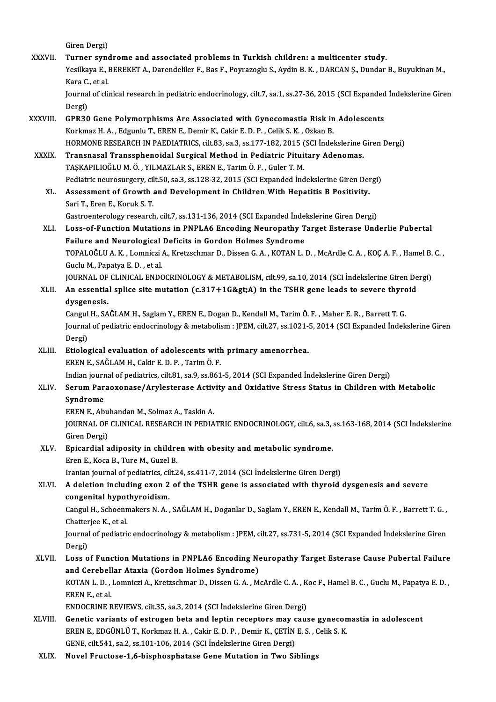- Giren Dergi) Giren Dergi)<br>XXXVII. Turner syndrome and associated problems in Turkish children: a multicenter study.<br>Yesillrave F. BEREKET A. Darendeliler E. Bes E. Berwaregly S. Aydin B. K., DARCAN S. Dunder. Yesilkaya E., BEREKET A., Darendeliler F., Bas F., Poyrazoglu S., Aydin B. K. , DARCAN Ş., Dundar B., Buyukinan M.,<br>Kara C., et al. Turner syne<br>Yesilkaya E., l<br>Kara C., et al.<br>Journal of cli Yesilkaya E., BEREKET A., Darendeliler F., Bas F., Poyrazoglu S., Aydin B. K. , DARCAN Ş., Dundar B., Buyukinan M.,<br>Kara C., et al.<br>Journal of clinical research in pediatric endocrinology, cilt.7, sa.1, ss.27-36, 2015 (SCI Kara C.<br>Journal<br>Dergi)<br>CPP 20 Journal of clinical research in pediatric endocrinology, cilt.7, sa.1, ss.27-36, 2015 (SCI Expanded<br>Dergi)<br>XXXVIII. GPR30 Gene Polymorphisms Are Associated with Gynecomastia Risk in Adolescents<br>Korkman H.A., Edgunly T. ERE Dergi)<br>GPR30 Gene Polymorphisms Are Associated with Gynecomastia Risk in<br>Korkmaz H. A. , Edgunlu T., EREN E., Demir K., Cakir E. D. P. , Celik S. K. , Ozkan B.<br>HOPMONE RESEARCH IN RAEDIATRICS, silt 92, sa 2, ss 177, 192, 2 Korkmaz H. A. , Edgunlu T., EREN E., Demir K., Cakir E. D. P. , Celik S. K. , Ozkan B.<br>HORMONE RESEARCH IN PAEDIATRICS, cilt.83, sa.3, ss.177-182, 2015 (SCI İndekslerine Giren Dergi) Korkmaz H. A., Edgunlu T., EREN E., Demir K., Cakir E. D. P., Celik S. K., Ozkan B.<br>HORMONE RESEARCH IN PAEDIATRICS, cilt.83, sa.3, ss.177-182, 2015 (SCI İndekslerine (XXXIX. Transnasal Transsphenoidal Surgical Method in P HORMONE RESEARCH IN PAEDIATRICS, cilt.83, sa.3, ss.177-182, 2015 (<br>Transnasal Transsphenoidal Surgical Method in Pediatric Pitui<br>TAŞKAPILIOĞLU M. Ö. , YILMAZLAR S., EREN E., Tarim Ö. F. , Guler T. M.<br>Pediatria neurogurgery Transnasal Transsphenoidal Surgical Method in Pediatric Pituitary Adenomas.<br>TAŞKAPILIOĞLU M. Ö. , YILMAZLAR S., EREN E., Tarim Ö. F. , Guler T. M.<br>Pediatric neurosurgery, cilt.50, sa.3, ss.128-32, 2015 (SCI Expanded İndeks TAŞKAPILIOĞLU M. Ö. , YILMAZLAR S., EREN E., Tarim Ö. F. , Guler T. M.<br>Pediatric neurosurgery, cilt.50, sa.3, ss.128-32, 2015 (SCI Expanded İndekslerine Giren Der<br>XL. Assessment of Growth and Development in Children With H Pediatric neurosurgery, cil<br>Assessment of Growth<br>Sari T., Eren E., Koruk S. T.<br>Costreentenelegy research Assessment of Growth and Development in Children With Hepatitis B Positivity.<br>Sari T., Eren E., Koruk S. T.<br>Gastroenterology research, cilt.7, ss.131-136, 2014 (SCI Expanded İndekslerine Giren Dergi)<br>Loga of Eungtion Mutat Sari T., Eren E., Koruk S. T.<br>Gastroenterology research, cilt.7, ss.131-136, 2014 (SCI Expanded Indekslerine Giren Dergi)<br>XLI. Loss-of-Function Mutations in PNPLA6 Encoding Neuropathy Target Esterase Underlie Pubertal Gastroenterology research, cilt.7, ss.131-136, 2014 (SCI Expanded Indel<br>Loss-of-Function Mutations in PNPLA6 Encoding Neuropathy T<br>Failure and Neurological Deficits in Gordon Holmes Syndrome<br>TOBALOČLUA K. Lompiggi A. Knats TOPALOĞLU A. K. , Lomniczi A., Kretzschmar D., Dissen G. A. , KOTAN L. D. , McArdle C. A. , KOÇ A. F. , Hamel B. C. ,<br>Guclu M., Papatya E. D. , et al. Failure and Neurological Deficits in Gordon Holmes Syndrome TOPALOĞLU A. K. , Lomniczi A., Kretzschmar D., Dissen G. A. , KOTAN L. D. , McArdle C. A. , KOÇ A. F. , Hamel B.<br>Guclu M., Papatya E. D. , et al.<br>JOURNAL OF CLINICAL ENDOCRINOLOGY & METABOLISM, cilt.99, sa.10, 2014 (SCI İn Guclu M., Papatya E. D. , et al.<br>JOURNAL OF CLINICAL ENDOCRINOLOGY & METABOLISM, cilt.99, sa.10, 2014 (SCI İndekslerine Giren De<br>XLII. An essential splice site mutation (c.317+1G&gt;A) in the TSHR gene leads to severe JOURNAL OF<br>An essentia<br>dysgenesis.<br>Cangul H. SA An essential splice site mutation (c.317+1G>A) in the TSHR gene leads to severe thyrouty senesis.<br>Cangul H., SAĞLAM H., Saglam Y., EREN E., Dogan D., Kendall M., Tarim Ö. F. , Maher E. R. , Barrett T. G.<br>Journal of podi **dysgenesis.**<br>Cangul H., SAĞLAM H., Saglam Y., EREN E., Dogan D., Kendall M., Tarim Ö. F. , Maher E. R. , Barrett T. G.<br>Journal of pediatric endocrinology & metabolism : JPEM, cilt.27, ss.1021-5, 2014 (SCI Expanded İndeksl Cangul<br>Journal<br>Dergi)<br>Etiolog Journal of pediatric endocrinology & metabolism : JPEM, cilt.27, ss.1021-<br>Dergi)<br>XLIII. Etiological evaluation of adolescents with primary amenorrhea. Dergi)<br>Etiological evaluation of adolescents with primary amenorrhea.<br>EREN E., SAĞLAM H., Cakir E. D. P. , Tarim Ö. F. Indian journal of pediatrics, cilt.81, sa.9, ss.861-5, 2014 (SCI Expanded İndekslerine Giren Dergi) EREN E., SAĞLAM H., Cakir E. D. P. , Tarim Ö. F.<br>Indian journal of pediatrics, cilt.81, sa.9, ss.861-5, 2014 (SCI Expanded İndekslerine Giren Dergi)<br>XLIV. Serum Paraoxonase/Arylesterase Activity and Oxidative Stress St Indian jour<mark>r</mark><br>Serum Par<br>Syndrome<br>EREN E. Ab Serum Paraoxonase/Arylesterase Activ<br>Syndrome<br>EREN E., Abuhandan M., Solmaz A., Taskin A.<br>JOUPNAL OF CLINICAL PESEARCH IN PEDIA S**yndrome**<br>EREN E., Abuhandan M., Solmaz A., Taskin A.<br>JOURNAL OF CLINICAL RESEARCH IN PEDIATRIC ENDOCRINOLOGY, cilt.6, sa.3, ss.163-168, 2014 (SCI İndekslerine EREN E., Abu<br>JOURNAL OF<br>Giren Dergi)<br>Enicandial o JOURNAL OF CLINICAL RESEARCH IN PEDIATRIC ENDOCRINOLOGY, cilt.6, sa.3, .<br>Giren Dergi)<br>XLV. Epicardial adiposity in children with obesity and metabolic syndrome.<br>From E. Koso B. Ture M. Gurel B. Giren Dergi)<br>Epicardial adiposity in children with obesity and metabolic syndrome.<br>Eren E., Koca B., Ture M., Guzel B. Iranian journal of pediatrics, cilt.24, ss.411-7, 2014 (SCI İndekslerine Giren Dergi) XLVI. A deletion including exon 2 of the TSHR gene is associated with thyroid dysgenesis and severe Iranian journal of pediatrics, cil<br>A deletion including exon 2<br>congenital hypothyroidism.<br>Cangul H. Schoanmakers N.A. Cangul H., Schoenmakers N. A. , SAĞLAM H., Doganlar D., Saglam Y., EREN E., Kendall M., Tarim Ö. F. , Barrett T. G. ,<br>Chatterjee K., et al. congenital hypot<br>Cangul H., Schoenn<br>Chatterjee K., et al.<br>Journal of nodiatric Cangul H., Schoenmakers N. A. , SAĞLAM H., Doganlar D., Saglam Y., EREN E., Kendall M., Tarim Ö. F. , Barrett T. G. ,<br>Chatterjee K., et al.<br>Journal of pediatric endocrinology & metabolism : JPEM, cilt.27, ss.731-5, 2014 (S Chatter<br>Journal<br>Dergi)<br>Loss Journal of pediatric endocrinology & metabolism : JPEM, cilt.27, ss.731-5, 2014 (SCI Expanded Indekslerine Giren<br>Dergi)<br>XLVII. Loss of Function Mutations in PNPLA6 Encoding Neuropathy Target Esterase Cause Pubertal Failure Dergi)<br>Loss of Function Mutations in PNPLA6 Encoding Ne<br>and Cerebellar Ataxia (Gordon Holmes Syndrome)<br>KOTAN L.D. Lemnissi A. Kratsehmer D. Dissen G.A., M Loss of Function Mutations in PNPLA6 Encoding Neuropathy Target Esterase Cause Pubertal Failure<br>and Cerebellar Ataxia (Gordon Holmes Syndrome)<br>KOTAN L. D. , Lomniczi A., Kretzschmar D., Dissen G. A. , McArdle C. A. , Koc F and Cerebell<br>KOTAN L. D. ,<br>EREN E., et al.<br>ENDOCEINE B KOTAN L. D. , Lomniczi A., Kretzschmar D., Dissen G. A. , McArdle C. A. , K<br>EREN E., et al.<br>ENDOCRINE REVIEWS, cilt.35, sa.3, 2014 (SCI İndekslerine Giren Dergi)<br>Conetis verients of estregen bets and lentin negenters may s EREN E., et al.<br>ENDOCRINE REVIEWS, cilt.35, sa.3, 2014 (SCI Indekslerine Giren Dergi)<br>XLVIII. Genetic variants of estrogen beta and leptin receptors may cause gynecomastia in adolescent<br>EREN E. EDGÜNE I. T. Korlmaz H.A. Co ENDOCRINE REVIEWS, cilt.35, sa.3, 2014 (SCI İndekslerine Giren Dergi)<br>Genetic variants of estrogen beta and leptin receptors may cause gynecon<br>EREN E., EDGÜNLÜ T., Korkmaz H. A. , Cakir E. D. P. , Demir K., ÇETİN E. S. , C Genetic variants of estrogen beta and leptin receptors may c<br>EREN E., EDGÜNLÜ T., Korkmaz H. A. , Cakir E. D. P. , Demir K., ÇETİN<br>GENE, cilt.541, sa.2, ss.101-106, 2014 (SCI İndekslerine Giren Dergi)<br>Nevel Enustase 1.6 bi EREN E., EDGÜNLÜ T., Korkmaz H. A. , Cakir E. D. P. , Demir K., ÇETİN E. S. , Celik S. K.<br>GENE, cilt.541, sa.2, ss.101-106, 2014 (SCI İndekslerine Giren Dergi)<br>XLIX. Novel Fructose-1,6-bisphosphatase Gene Mutation in Two S
	-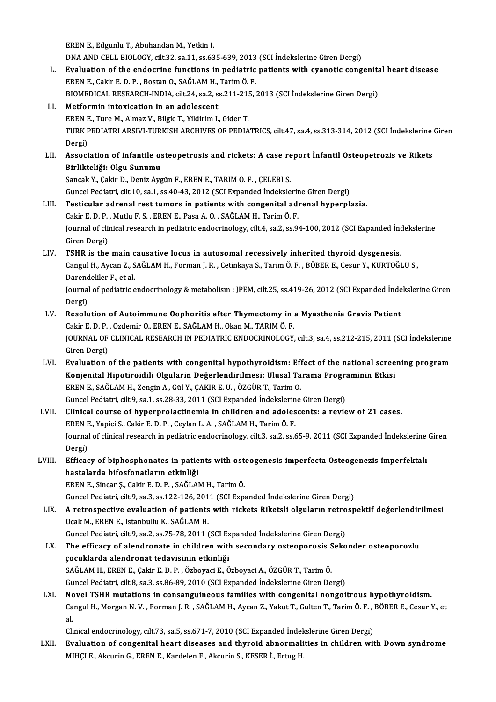EREN E., Edgunlu T., Abuhandan M., Yetkin I.

EREN E., Edgunlu T., Abuhandan M., Yetkin I.<br>DNA AND CELL BIOLOGY, cilt.32, sa.11, ss.635-639, 2013 (SCI İndekslerine Giren Dergi)<br>Fyalustion of the endegrine functions in podistris patients with sysnetis seng

- EREN E., Edgunlu T., Abuhandan M., Yetkin I.<br>DNA AND CELL BIOLOGY, cilt.32, sa.11, ss.635-639, 2013 (SCI Indekslerine Giren Dergi)<br>L. Evaluation of the endocrine functions in pediatric patients with cyanotic congenital hea DNA AND CELL BIOLOGY, cilt.32, sa.11, ss.635-639, 2013<br>Evaluation of the endocrine functions in pediatric<br>EREN E., Cakir E. D. P., Bostan O., SAĞLAM H., Tarim Ö. F.<br>PIOMEDICAL PESEARCH INDIA silt 24, ss.2, ss.211, 215 Evaluation of the endocrine functions in pediatric patients with cyanotic congenitation in the state of SAGLAM H., Tarim Ö. F.<br>EREN E., Cakir E. D. P. , Bostan O., SAĞLAM H., Tarim Ö. F.<br>BIOMEDICAL RESEARCH-INDIA, cilt.24, EREN E., Cakir E. D. P. , Bostan O., SAĞLAM H., Tarim Ö. F.<br>BIOMEDICAL RESEARCH-INDIA, cilt.24, sa.2, ss.211-215, 2013 (SCI İndekslerine Giren Dergi)<br>LI. Metformin intoxication in an adolescent
- EREN E., Ture M., Almaz V., Bilgic T., Yildirim I., Gider T. TURK PEDIATRI ARSIVI-TURKISH ARCHIVES OF PEDIATRICS, cilt.47, sa.4, ss.313-314, 2012 (SCI İndekslerine Giren Dergi) TURK PEDIATRI ARSIVI-TURKISH ARCHIVES OF PEDIATRICS, cilt.47, sa.4, ss.313-314, 2012 (SCI İndekslerine<br>Dergi)<br>LII. Association of infantile osteopetrosis and rickets: A case report İnfantil Osteopetrozis ve Rikets<br>Pirlikte
- Dergi)<br>Association of infantile os<br>Birlikteliği: Olgu Sunumu<br>Sangek V. Celin D. Deniz Ava Association of infantile osteopetrosis and rickets: A case re<br>Birlikteliği: Olgu Sunumu<br>Sancak Y., Çakir D., Deniz Aygün F., EREN E., TARIM Ö. F. , ÇELEBİ S.<br>Cungel Bedietri gilt 10.50 1.55 40.42.2012 (SCLEvnanded İndeltel

Birlikteliği: Olgu Sunumu<br>Sancak Y., Çakir D., Deniz Aygün F., EREN E., TARIM Ö. F. , ÇELEBİ S.<br>Guncel Pediatri, cilt.10, sa.1, ss.40-43, 2012 (SCI Expanded İndekslerine Giren Dergi)

- Sancak Y., Çakir D., Deniz Aygün F., EREN E., TARIM Ö. F., ÇELEBİ S.<br>Guncel Pediatri, cilt.10, sa.1, ss.40-43, 2012 (SCI Expanded İndekslerine Giren Dergi)<br>LIII. Testicular adrenal rest tumors in patients with congenital a Guncel Pediatri, cilt.10, sa.1, ss.40-43, 2012 (SCI Expanded İndekslerin<br>Testicular adrenal rest tumors in patients with congenital adı<br>Cakir E. D. P. , Mutlu F. S. , EREN E., Pasa A. O. , SAĞLAM H., Tarim Ö. F.<br>Journal of Journal of clinical research in pediatric endocrinology, cilt.4, sa.2, ss.94-100, 2012 (SCI Expanded İndekslerine<br>Giren Dergi) Cakir E. D. P., Mutlu F. S., EREN E., Pasa A. O., SAĞLAM H., Tarim Ö. F.
- LIV. TSHR is the main causative locus in autosomal recessively inherited thyroid dysgenesis. Giren Dergi)<br>TSHR is the main causative locus in autosomal recessively inherited thyroid dysgenesis.<br>Cangul H., Aycan Z., SAĞLAM H., Forman J. R. , Cetinkaya S., Tarim Ö. F. , BÖBER E., Cesur Y., KURTOĞLU S.,<br>Perendekilar TSHR is the main c<br>Cangul H., Aycan Z., S<br>Darendeliler F., et al.<br>Journal of podiatric a Darendeliler F., et al.

Journal of pediatric endocrinology & metabolism: JPEM, cilt.25, ss.419-26, 2012 (SCI Expanded İndekslerine Giren<br>Dergi) Journal of pediatric endocrinology & metabolism : JPEM, cilt.25, ss.419-26, 2012 (SCI Expanded Inde<br>Dergi)<br>LV. Resolution of Autoimmune Oophoritis after Thymectomy in a Myasthenia Gravis Patient<br>Colting D. B. Ordomin O. ER

- Dergi)<br>Resolution of Autoimmune Oophoritis after Thymectomy in <br>Cakir E. D. P. , Ozdemir O., EREN E., SAĞLAM H., Okan M., TARIM Ö. F.<br>JOUPMAL OF CLINICAL PESEARCH IN PEDIATRIC ENDOCPINOLOCY JOURNAL OF CLINICAL RESEARCH IN PEDIATRIC ENDOCRINOLOGY, cilt.3, sa.4, ss.212-215, 2011 (SCI İndekslerine<br>Giren Dergi) Cakir E. D. P., Ozdemir O., EREN E., SAĞLAM H., Okan M., TARIM Ö. F. JOURNAL OF CLINICAL RESEARCH IN PEDIATRIC ENDOCRINOLOGY, cilt.3, sa.4, ss.212-215, 2011 (SCI Indekslerine<br>Giren Dergi)<br>LVI. Evaluation of the patients with congenital hypothyroidism: Effect of the national screening progra
- Giren Dergi)<br>Evaluation of the patients with congenital hypothyroidism: Effect of the national scree<br>Konjenital Hipotiroidili Olgularin Değerlendirilmesi: Ulusal Tarama Programinin Etkisi<br>FREN E. SAČLAM H. Zengin A. Gil V. EREN E., SAĞLAM H., Zengin A., Gül Y., ÇAKIR E. U. , ÖZGÜR T., Tarim O.<br>Guncel Pediatri, cilt.9, sa.1, ss.28-33, 2011 (SCI Expanded İndekslerine Giren Dergi) Konjenital Hipotiroidili Olgularin Değerlendirilmesi: Ulusal Tarama Programinin Etkisi
- LVII. Clinical course of hyperprolactinemia in children and adolescents: a review of 21 cases. Guncel Pediatri, cilt.9, sa.1, ss.28-33, 2011 (SCI Expanded İndekslerin<br>Clinical course of hyperprolactinemia in children and adoles<br>EREN E., Yapici S., Cakir E. D. P. , Ceylan L. A. , SAĞLAM H., Tarim Ö. F.<br>Journal of cli Journal of clinical research in pediatric endocrinology, cilt.3, sa.2, ss.65-9, 2011 (SCI Expanded İndekslerine Giren<br>Dergi) EREN E<br>Journal<br>Dergi)<br>Effices Journal of clinical research in pediatric endocrinology, cilt.3, sa.2, ss.65-9, 2011 (SCI Expanded Indekslerine<br>Dergi)<br>LVIII. Efficacy of biphosphonates in patients with osteogenesis imperfecta Osteogenezis imperfektalı<br>ha
- Dergi)<br>Efficacy of biphosphonates in patie<br>hastalarda bifosfonatların etkinliği<br>ERENE Sincar S. Cokir E.D. B. SAĞLAI Efficacy of biphosphonates in patients with ost<br>hastalarda bifosfonatların etkinliği<br>EREN E., Sincar Ş., Cakir E. D. P. , SAĞLAM H., Tarim Ö.<br>Cuncel Bediatri gilt 9, sa 2, sa 122, 126, 2011 (SCL Exp hastalarda bifosfonatların etkinliği<br>EREN E., Sincar Ş., Cakir E. D. P. , SAĞLAM H., Tarim Ö.<br>Guncel Pediatri, cilt.9, sa.3, ss.122-126, 2011 (SCI Expanded İndekslerine Giren Dergi)<br>A retroepestive evaluation of patients w

EREN E., Sincar Ş., Cakir E. D. P. , SAĞLAM H., Tarim Ö.<br>Guncel Pediatri, cilt.9, sa.3, ss.122-126, 2011 (SCI Expanded İndekslerine Giren Dergi)<br>LIX. A retrospective evaluation of patients with rickets Riketsli olgular Guncel Pediatri, cilt.9, sa.3, ss.122-126, 201<br>A retrospective evaluation of patients<br>Ocak M., EREN E., Istanbullu K., SAĞLAM H.<br>Cuncel Pediatri, cilt.9, se.3, ss.75, 79, 2011.4 A retrospective evaluation of patients with rickets Riketsli olguların retro<br>Ocak M., EREN E., Istanbullu K., SAĞLAM H.<br>Guncel Pediatri, cilt.9, sa.2, ss.75-78, 2011 (SCI Expanded İndekslerine Giren Dergi)<br>The efficesy of

Ocak M., EREN E., Istanbullu K., SAĞLAM H.<br>Guncel Pediatri, cilt.9, sa.2, ss.75-78, 2011 (SCI Expanded İndekslerine Giren Dergi)<br>LX. The efficacy of alendronate in children with secondary osteoporosis Sekonder osteoporozlu Guncel Pediatri, cilt.9, sa.2, ss.75-78, 2011 (SCI Ex<br>The efficacy of alendronate in children with<br>gocuklarda alendronat tedavisinin etkinliği<br>SAČLAM H. EREN E. Cokir E. D. B. Ösboyasi E. Ö The efficacy of alendronate in children with secondary osteoporosis S<br>çocuklarda alendronat tedavisinin etkinliği<br>SAĞLAM H., EREN E., Çakir E. D. P. , Özboyaci E., Özboyaci A., ÖZGÜR T., Tarim Ö.<br>Cungel Bedietri gilt 9, sa çocuklarda alendronat tedavisinin etkinliği<br>SAĞLAM H., EREN E., Çakir E. D. P. , Özboyaci E., Özboyaci A., ÖZGÜR T., Tarim Ö.<br>Guncel Pediatri, cilt.8, sa.3, ss.86-89, 2010 (SCI Expanded İndekslerine Giren Dergi)

LXI. Novel TSHR mutations in consanguineous families with congenital nongoitrous hypothyroidism. Guncel Pediatri, cilt.8, sa.3, ss.86-89, 2010 (SCI Expanded İndekslerine Giren Dergi)<br>Novel TSHR mutations in consanguineous families with congenital nongoitrous hypothyroidism.<br>Cangul H., Morgan N. V. , Forman J. R. , SAĞ Nc<br>Ca<br>al. Cangul H., Morgan N. V. , Forman J. R. , SAĞLAM H., Aycan Z., Yakut T., Gulten T., Tarim Ö. F. , .<br>al.<br>Clinical endocrinology, cilt.73, sa.5, ss.671-7, 2010 (SCI Expanded İndekslerine Giren Dergi)<br>Evaluation of consenital

al.<br>Clinical endocrinology, cilt.73, sa.5, ss.671-7, 2010 (SCI Expanded Indekslerine Giren Dergi)<br>LXII. Evaluation of congenital heart diseases and thyroid abnormalities in children with Down syndrome<br>MUCLE, Algunia G. ERE Clinical endocrinology, cilt.73, sa.5, ss.671-7, 2010 (SCI Expanded İndek<br><mark>Evaluation of congenital heart diseases and thyroid abnormali</mark><br>MIHÇI E., Akcurin G., EREN E., Kardelen F., Akcurin S., KESER İ., Ertug H.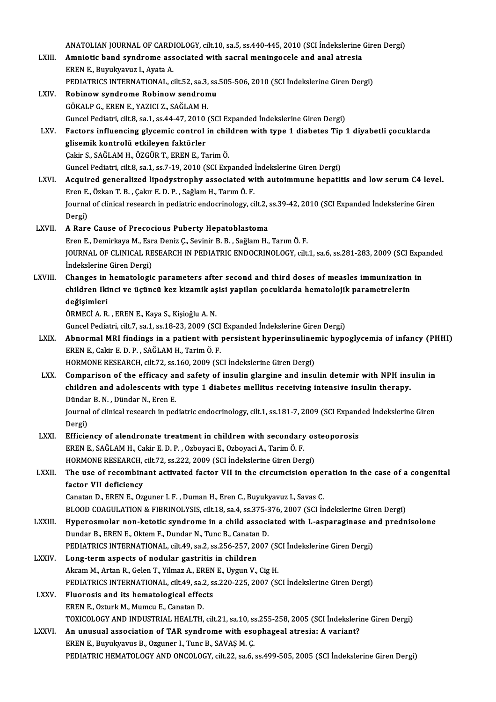ANATOLIAN JOURNAL OF CARDIOLOGY, cilt.10, sa.5, ss.440-445, 2010 (SCI İndekslerine Giren Dergi)<br>Amnistis band sundrama assosisted with seerel maningasels and anal stresis

ANATOLIAN JOURNAL OF CARDIOLOGY, cilt.10, sa.5, ss.440-445, 2010 (SCI İndekslerine (<br>LXIII. Amniotic band syndrome associated with sacral meningocele and anal atresia ANATOLIAN JOURNAL OF CARD<br>**Amniotic band syndrome ass<br>EREN E., Buyukyavuz I., Ayata A.**<br>PEDIATRICS INTERNATIONAL S Amniotic band syndrome associated with sacral meningocele and anal atresia<br>EREN E., Buyukyavuz I., Ayata A.<br>PEDIATRICS INTERNATIONAL, cilt.52, sa.3, ss.505-506, 2010 (SCI İndekslerine Giren Dergi)<br>Pebinew syndrome Pebinew EREN E., Buyukyavuz I., Ayata A.<br>PEDIATRICS INTERNATIONAL, cilt.52, sa.3, ss.<br>LXIV. Robinow syndrome Robinow sendromu

|               | PEDIATRICS INTERNATIONAL, cilt.52, sa.3, ss.505-506, 2010 (SCI İndekslerine Giren Dergi)                                                                        |
|---------------|-----------------------------------------------------------------------------------------------------------------------------------------------------------------|
| LXIV.         | Robinow syndrome Robinow sendromu                                                                                                                               |
|               | GÖKALP G., EREN E., YAZICI Z., SAĞLAM H.                                                                                                                        |
|               | Guncel Pediatri, cilt.8, sa.1, ss.44-47, 2010 (SCI Expanded İndekslerine Giren Dergi)                                                                           |
| LXV.          | Factors influencing glycemic control in children with type 1 diabetes Tip 1 diyabetli cocuklarda                                                                |
|               | glisemik kontrolü etkileyen faktörler                                                                                                                           |
|               | Çakir S., SAĞLAM H., ÖZGÜR T., EREN E., Tarim Ö.                                                                                                                |
|               | Guncel Pediatri, cilt.8, sa.1, ss.7-19, 2010 (SCI Expanded İndekslerine Giren Dergi)                                                                            |
| LXVI.         | Acquired generalized lipodystrophy associated with autoimmune hepatitis and low serum C4 level.<br>Eren E., Özkan T. B., Çakır E. D. P., Sağlam H., Tarım Ö. F. |
|               | Journal of clinical research in pediatric endocrinology, cilt.2, ss.39-42, 2010 (SCI Expanded İndekslerine Giren                                                |
|               | Dergi)                                                                                                                                                          |
| <b>LXVII</b>  | A Rare Cause of Precocious Puberty Hepatoblastoma                                                                                                               |
|               | Eren E., Demirkaya M., Esra Deniz Ç., Sevinir B. B., Sağlam H., Tarım Ö. F.                                                                                     |
|               | JOURNAL OF CLINICAL RESEARCH IN PEDIATRIC ENDOCRINOLOGY, cilt.1, sa.6, ss.281-283, 2009 (SCI Expanded                                                           |
|               | İndekslerine Giren Dergi)                                                                                                                                       |
| LXVIII.       | Changes in hematologic parameters after second and third doses of measles immunization in                                                                       |
|               | children Ikinci ve üçüncü kez kizamik aşisi yapilan çocuklarda hematolojik parametrelerin                                                                       |
|               | değişimleri                                                                                                                                                     |
|               | ÖRMECİ A. R., EREN E., Kaya S., Kişioğlu A. N.                                                                                                                  |
|               | Guncel Pediatri, cilt.7, sa.1, ss.18-23, 2009 (SCI Expanded İndekslerine Giren Dergi)                                                                           |
| LXIX.         | Abnormal MRI findings in a patient with persistent hyperinsulinemic hypoglycemia of infancy (PHHI)                                                              |
|               | EREN E., Cakir E. D. P., SAĞLAM H., Tarim Ö. F.                                                                                                                 |
|               | HORMONE RESEARCH, cilt.72, ss.160, 2009 (SCI İndekslerine Giren Dergi)                                                                                          |
| LXX.          | Comparison of the efficacy and safety of insulin glargine and insulin detemir with NPH insulin in                                                               |
|               | children and adolescents with type 1 diabetes mellitus receiving intensive insulin therapy.                                                                     |
|               | Dündar B. N., Dündar N., Eren E.                                                                                                                                |
|               | Journal of clinical research in pediatric endocrinology, cilt.1, ss.181-7, 2009 (SCI Expanded İndekslerine Giren                                                |
|               | Dergi)                                                                                                                                                          |
| LXXI.         | Efficiency of alendronate treatment in children with secondary osteoporosis                                                                                     |
|               | EREN E., SAĞLAM H., Cakir E. D. P., Ozboyaci E., Ozboyaci A., Tarim Ö. F.                                                                                       |
|               | HORMONE RESEARCH, cilt.72, ss.222, 2009 (SCI Indekslerine Giren Dergi)                                                                                          |
| <b>LXXII</b>  | The use of recombinant activated factor VII in the circumcision operation in the case of a congenital                                                           |
|               | factor VII deficiency                                                                                                                                           |
|               | Canatan D., EREN E., Ozguner I. F., Duman H., Eren C., Buyukyavuz I., Savas C.                                                                                  |
|               | BLOOD COAGULATION & FIBRINOLYSIS, cilt.18, sa.4, ss.375-376, 2007 (SCI Indekslerine Giren Dergi)                                                                |
| <b>LXXIII</b> | Hyperosmolar non-ketotic syndrome in a child associated with L-asparaginase and prednisolone                                                                    |
|               | Dundar B., EREN E., Oktem F., Dundar N., Tunc B., Canatan D.                                                                                                    |
|               | PEDIATRICS INTERNATIONAL, cilt.49, sa.2, ss.256-257, 2007 (SCI Indekslerine Giren Dergi)                                                                        |
| <b>LXXIV</b>  | Long-term aspects of nodular gastritis in children                                                                                                              |
|               | Akcam M., Artan R., Gelen T., Yilmaz A., EREN E., Uygun V., Cig H.                                                                                              |
|               | PEDIATRICS INTERNATIONAL, cilt.49, sa.2, ss.220-225, 2007 (SCI Indekslerine Giren Dergi)                                                                        |
| <b>LXXV</b>   | Fluorosis and its hematological effects                                                                                                                         |
|               | EREN E., Ozturk M., Mumcu E., Canatan D.                                                                                                                        |
|               | TOXICOLOGY AND INDUSTRIAL HEALTH, cilt.21, sa.10, ss.255-258, 2005 (SCI İndekslerine Giren Dergi)                                                               |
| LXXVI.        | An unusual association of TAR syndrome with esophageal atresia: A variant?                                                                                      |
|               | EREN E., Buyukyavus B., Ozguner I., Tunc B., SAVAŞ M. Ç.                                                                                                        |
|               | PEDIATRIC HEMATOLOGY AND ONCOLOGY, cilt.22, sa.6, ss.499-505, 2005 (SCI Indekslerine Giren Dergi)                                                               |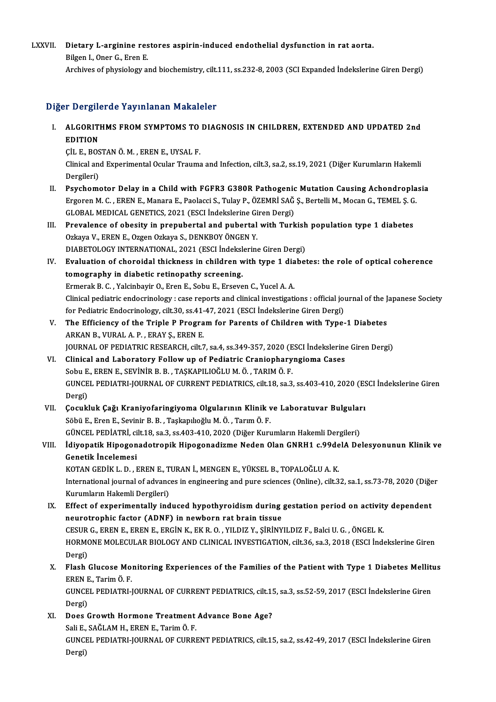## LXXVII. Dietary L-arginine restores aspirin-induced endothelial dysfunction in rat aorta.<br>Rikan L Oper C, Fren F **Dietary L-arginine res**<br>Bilgen I., Oner G., Eren E.<br>Archives of physiolery et Bilgen I., Oner G., Eren E.<br>Archives of physiology and biochemistry, cilt.111, ss.232-8, 2003 (SCI Expanded İndekslerine Giren Dergi)

## Diğer Dergilerde Yayınlanan Makaleler

Iğer Dergilerde Yayınlanan Makaleler<br>I. ALGORITHMS FROM SYMPTOMS TO DIAGNOSIS IN CHILDREN, EXTENDED AND UPDATED 2nd ALGORITIER<br>EDITION<br>CUEROS ALGORITHMS FROM SYMPTOMS TO<br>EDITION<br>ÇİL E., BOSTAN Ö.M. , EREN E., UYSAL F.<br>Clinical and Experimental Ocular Traums

EDITION<br>ÇİL E., BOSTAN Ö. M. , EREN E., UYSAL F.<br>Clinical and Experimental Ocular Trauma and Infection, cilt.3, sa.2, ss.19, 2021 (Diğer Kurumların Hakemli<br>Dergileri) CIL E., BOS<br>Clinical and<br>Dergileri)<br>Paveboru Clinical and Experimental Ocular Trauma and Infection, cilt.3, sa.2, ss.19, 2021 (Diğer Kurumların Hakemli<br>Dergileri)<br>II. Psychomotor Delay in a Child with FGFR3 G380R Pathogenic Mutation Causing Achondroplasia<br>Freezen M.C

- Dergileri)<br>Psychomotor Delay in a Child with FGFR3 G380R Pathogenic Mutation Causing Achondropla<br>Ergoren M.C.,EREN E., Manara E., Paolacci S., Tulay P., ÖZEMRİ SAĞ Ş., Bertelli M., Mocan G., TEMEL Ş. G.<br>GLOPAL MEDICAL GENE Psychomotor Delay in a Child with FGFR3 G380R Pathogenic<br>Ergoren M. C. , EREN E., Manara E., Paolacci S., Tulay P., ÖZEMRİ SAĞ<br>GLOBAL MEDICAL GENETICS, 2021 (ESCI İndekslerine Giren Dergi)<br>Prevelenes of shesity in prepuben Ergoren M. C., EREN E., Manara E., Paolacci S., Tulay P., ÖZEMRİ SAĞ Ş., Bertelli M., Mocan G., TEMEL Ş. G<br>GLOBAL MEDICAL GENETICS, 2021 (ESCI İndekslerine Giren Dergi)<br>III. Prevalence of obesity in prepubertal and puberta
- GLOBAL MEDICAL GENETICS, 2021 (ESCI İndekslerine Giren Dergi)<br>Prevalence of obesity in prepubertal and pubertal with Turk<br>Ozkaya V., EREN E., Ozgen Ozkaya S., DENKBOY ÖNGEN Y. Prevalence of obesity in prepubertal and pubertal with Turkish<br>Ozkaya V., EREN E., Ozgen Ozkaya S., DENKBOY ÖNGEN Y.<br>DIABETOLOGY INTERNATIONAL, 2021 (ESCI İndekslerine Giren Dergi)<br>Evaluation of shanaidal thielmess in shil DIABETOLOGY INTERNATIONAL, 2021 (ESCI Indekslerine Giren Dergi)
- IV. Evaluation of choroidal thickness in children with type 1 diabetes: the role of optical coherence ErmerakB.C. ,YalcinbayirO.,ErenE.,SobuE.,ErsevenC.,YucelA.A. tomography in diabetic retinopathy screening.<br>Ermerak B. C. , Yalcinbayir O., Eren E., Sobu E., Erseven C., Yucel A. A.<br>Clinical pediatric endocrinology : case reports and clinical investigations : official journal of the Ermerak B. C. , Yalcinbayir O., Eren E., Sobu E., Erseven C., Yucel A. A.<br>Clinical pediatric endocrinology : case reports and clinical investigations : official journal<br>for Pediatric Endocrinology, cilt.30, ss.41-47, 2021
- Clinical pediatric endocrinology : case reports and clinical investigations : official journal of the J<br>for Pediatric Endocrinology, cilt.30, ss.41-47, 2021 (ESCI Indekslerine Giren Dergi)<br>V. The Efficiency of the Triple P for Pediatric Endocrinology, cilt.30, ss.41-<br>The Efficiency of the Triple P Progra<br>ARKAN B., VURAL A. P. , ERAY Ş., EREN E.<br>JOURNAL OF PEDIATRIC PESEARCH cilt 7 The Efficiency of the Triple P Program for Parents of Children with Type-1 Diabetes<br>ARKAN B., VURAL A. P. , ERAY Ş., EREN E.<br>JOURNAL OF PEDIATRIC RESEARCH, cilt.7, sa.4, ss.349-357, 2020 (ESCI İndekslerine Giren Dergi)<br>Cli
- ARKAN B., VURAL A. P. , ERAY Ş., EREN E.<br>JOURNAL OF PEDIATRIC RESEARCH, cilt7, sa.4, ss.349-357, 2020 (ESCI İndekslerine<br>VI. Clinical and Laboratory Follow up of Pediatric Craniopharyngioma Cases<br>Sobu E., EREN E., SEVİNİR JOURNAL OF PEDIATRIC RESEARCH, cilt.7, sa.4, ss.349-357, 2020 (E<br>Clinical and Laboratory Follow up of Pediatric Craniophary<br>Sobu E., EREN E., SEVİNİR B. B. , TAŞKAPILIOĞLU M. Ö. , TARIM Ö. F.<br>CUNCEL PEDIATRI JOURNAL OF CUR Clinical and Laboratory Follow up of Pediatric Craniopharyngioma Cases<br>Sobu E., EREN E., SEVİNİR B. B. , TAŞKAPILIOĞLU M. Ö. , TARIM Ö. F.<br>GUNCEL PEDIATRI-JOURNAL OF CURRENT PEDIATRICS, cilt.18, sa.3, ss.403-410, 2020 (ESC Sobu E<br>GUNCE<br>Dergi)<br>Cosubl GUNCEL PEDIATRI-JOURNAL OF CURRENT PEDIATRICS, cilt.18, sa.3, ss.403-410, 2020 (ES<br>Dergi)<br>VII. Cocukluk Çağı Kraniyofaringiyoma Olgularının Klinik ve Laboratuvar Bulguları<br>Söbü E. Fran E. Sevinin B. B. Tecknoloğlu M.Ö. Ter
- Dergi)<br>Çocukluk Çağı Kraniyofaringiyoma Olgularının Klinik v<br>Söbü E., Eren E., Sevinir B. B. , Taşkapılıoğlu M. Ö. , Tarım Ö. F.<br>CÜNCEL PEDLATRL silt 19. sə 3. sə 403.410.2020 (Dižer Kurr Çocukluk Çağı Kraniyofaringiyoma Olgularının Klinik ve Laboratuvar Bulgular<br>Söbü E., Eren E., Sevinir B. B. , Taşkapılıoğlu M. Ö. , Tarım Ö. F.<br>GÜNCEL PEDİATRİ, cilt.18, sa.3, ss.403-410, 2020 (Diğer Kurumların Hakemli Der Söbü E., Eren E., Sevinir B. B. , Taşkapılıoğlu M. Ö. , Tarım Ö. F.<br>GÜNCEL PEDİATRİ, cilt.18, sa.3, ss.403-410, 2020 (Diğer Kurumların Hakemli Dergileri)<br>VIII. İdiyopatik Hipogonadotropik Hipogonadizme Neden Olan GNRH1

# GÜNCEL PEDİATRİ, ci<br>İdiyopatik Hipogon<br>Genetik İncelemesi<br>KOTAN CEDİK L.D. L İdiyopatik Hipogonadotropik Hipogonadizme Neden Olan GNRH1 c.99de<br>Genetik İncelemesi<br>KOTAN GEDİK L. D. , EREN E., TURAN İ., MENGEN E., YÜKSEL B., TOPALOĞLU A. K.<br>International journal of advances in engineering and nure sc

Genetik İncelemesi<br>KOTAN GEDİK L. D. , EREN E., TURAN İ., MENGEN E., YÜKSEL B., TOPALOĞLU A. K.<br>International journal of advances in engineering and pure sciences (Online), cilt.32, sa.1, ss.73-78, 2020 (Diğer<br>Kurumların H KOTAN GEDİK L. D., EREN E., TURAN İ., MENGEN E., YÜKSEL B., TOPALOĞLU A. K. International journal of advances in engineering and pure sciences (Online), cilt.32, sa.1, ss.73-78, 2020 (Diğe<br>Kurumların Hakemli Dergileri)<br>IX. Effect of experimentally induced hypothyroidism during gestation period on

- Kurumların Hakemli Dergileri)<br>Effect of experimentally induced hypothyroidism during<br>neurotrophic factor (ADNF) in newborn rat brain tissue<br>CESUB G, EREN E, EREN E, ERGİN K, EK B, O, VU DIZ V, SİRİNY Effect of experimentally induced hypothyroidism during gestation period on activity<br>neurotrophic factor (ADNF) in newborn rat brain tissue<br>CESUR G., EREN E., EREN E., ERGİN K., EKR.O. , YILDIZ Y., ŞİRİNYILDIZ F., Balci U. neurotrophic factor (ADNF) in newborn rat brain tissue<br>CESUR G., EREN E., EREN E., ERGIN K., EK R. O. , YILDIZ Y., ŞİRİNYILDIZ F., Balci U. G. , ÖNGEL K.<br>HORMONE MOLECULAR BIOLOGY AND CLINICAL INVESTIGATION, cilt.36, sa.3, CESUR<br>HORM<br>Dergi)<br>Elash HORMONE MOLECULAR BIOLOGY AND CLINICAL INVESTIGATION, cilt.36, sa.3, 2018 (ESCI İndekslerine Giren<br>Dergi)<br>X. Flash Glucose Monitoring Experiences of the Families of the Patient with Type 1 Diabetes Mellitus<br>FREN E. Terim Ö
- Dergi)<br>Flash Glucose Mo:<br>EREN E., Tarim Ö. F.<br>CUNCEL PEDLATPLI Flash Glucose Monitoring Experiences of the Families of the Patient with Type 1 Diabetes Mellitu<br>EREN E., Tarim Ö. F.<br>GUNCEL PEDIATRI-JOURNAL OF CURRENT PEDIATRICS, cilt.15, sa.3, ss.52-59, 2017 (ESCI İndekslerine Giren<br>De

EREN E., Tarim Ö. F.<br>GUNCEL PEDIATRI-JOURNAL OF CURRENT PEDIATRICS, cilt.15, sa.3, ss.52-59, 2017 (ESCI İndekslerine Giren<br>Dergi) GUNCEL PEDIATRI-JOURNAL OF CURRENT PEDIATRICS, cilt.1!<br>Dergi)<br>XI. Does Growth Hormone Treatment Advance Bone Age?<br>Seli E. SAČLAM U. EREN E. Terim Ö. E.

Dergi)<br>Does Growth Hormone Treatment<br>Sali E., SAĞLAM H., EREN E., Tarim Ö. F.<br>CUNCEL PEDIATRI JOUPNAL OF CUPPI Does Growth Hormone Treatment Advance Bone Age?<br>Sali E., SAĞLAM H., EREN E., Tarim Ö. F.<br>GUNCEL PEDIATRI-JOURNAL OF CURRENT PEDIATRICS, cilt.15, sa.2, ss.42-49, 2017 (ESCI İndekslerine Giren<br>Persi) Sali E.,<br>GUNCI<br>Dergi)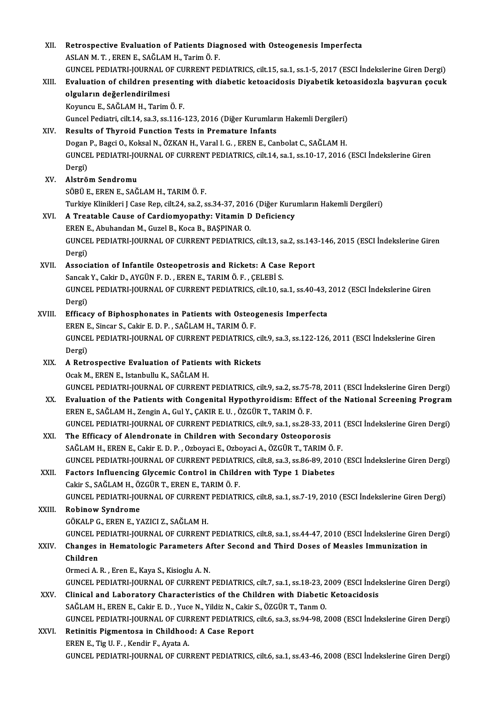| XII.   | Retrospective Evaluation of Patients Diagnosed with Osteogenesis Imperfecta                                                                                |
|--------|------------------------------------------------------------------------------------------------------------------------------------------------------------|
|        | ASLAN M. T., EREN E., SAĞLAM H., Tarim Ö. F.                                                                                                               |
|        | GUNCEL PEDIATRI-JOURNAL OF CURRENT PEDIATRICS, cilt.15, sa.1, ss.1-5, 2017 (ESCI İndekslerine Giren Dergi)                                                 |
| XIII.  | Evaluation of children presenting with diabetic ketoacidosis Diyabetik ketoasidozla başvuran çocuk                                                         |
|        | olguların değerlendirilmesi                                                                                                                                |
|        | Koyuncu E., SAĞLAM H., Tarim Ö. F.                                                                                                                         |
|        | Guncel Pediatri, cilt.14, sa.3, ss.116-123, 2016 (Diğer Kurumların Hakemli Dergileri)                                                                      |
| XIV.   | Results of Thyroid Function Tests in Premature Infants                                                                                                     |
|        | Dogan P., Bagci O., Koksal N., ÖZKAN H., Varal I. G., EREN E., Canbolat C., SAĞLAM H.                                                                      |
|        | GUNCEL PEDIATRI-JOURNAL OF CURRENT PEDIATRICS, cilt.14, sa.1, ss.10-17, 2016 (ESCI İndekslerine Giren                                                      |
|        | Dergi)                                                                                                                                                     |
| XV.    | Alström Sendromu                                                                                                                                           |
|        | SÖBÜ E, EREN E, SAĞLAM H, TARIM Ö. F.                                                                                                                      |
|        | Turkiye Klinikleri J Case Rep, cilt.24, sa.2, ss.34-37, 2016 (Diğer Kurumların Hakemli Dergileri)                                                          |
| XVI.   | A Treatable Cause of Cardiomyopathy: Vitamin D Deficiency                                                                                                  |
|        | EREN E., Abuhandan M., Guzel B., Koca B., BAŞPINAR O.                                                                                                      |
|        | GUNCEL PEDIATRI-JOURNAL OF CURRENT PEDIATRICS, cilt.13, sa.2, ss.143-146, 2015 (ESCI İndekslerine Giren                                                    |
|        | Dergi)                                                                                                                                                     |
| XVII.  | Association of Infantile Osteopetrosis and Rickets: A Case Report                                                                                          |
|        | Sancak Y., Cakir D., AYGÜN F. D., EREN E., TARIM Ö. F., ÇELEBİ S.                                                                                          |
|        | GUNCEL PEDIATRI-JOURNAL OF CURRENT PEDIATRICS, cilt.10, sa.1, ss.40-43, 2012 (ESCI Indekslerine Giren                                                      |
|        | Dergi)                                                                                                                                                     |
| XVIII. | Efficacy of Biphosphonates in Patients with Osteogenesis Imperfecta                                                                                        |
|        | EREN E., Sincar S., Cakir E. D. P., SAĞLAM H., TARIM Ö. F.                                                                                                 |
|        | GUNCEL PEDIATRI-JOURNAL OF CURRENT PEDIATRICS, cilt.9, sa.3, ss.122-126, 2011 (ESCI Indekslerine Giren                                                     |
|        | Dergi)                                                                                                                                                     |
| XIX.   | A Retrospective Evaluation of Patients with Rickets                                                                                                        |
|        | Ocak M., EREN E., Istanbullu K., SAĞLAM H.                                                                                                                 |
|        | GUNCEL PEDIATRI-JOURNAL OF CURRENT PEDIATRICS, cilt.9, sa.2, ss.75-78, 2011 (ESCI Indekslerine Giren Dergi)                                                |
| XX.    | Evaluation of the Patients with Congenital Hypothyroidism: Effect of the National Screening Program                                                        |
|        | EREN E., SAĞLAM H., Zengin A., Gul Y., ÇAKIR E. U., ÖZGÜR T., TARIM Ö. F.                                                                                  |
|        | GUNCEL PEDIATRI-JOURNAL OF CURRENT PEDIATRICS, cilt.9, sa.1, ss.28-33, 2011 (ESCI İndekslerine Giren Dergi)                                                |
| XXI.   | The Efficacy of Alendronate in Children with Secondary Osteoporosis<br>SAĞLAM H., EREN E., Cakir E. D. P., Ozboyaci E., Ozboyaci A., ÖZGÜR T., TARIM Ö. F. |
|        | GUNCEL PEDIATRI-JOURNAL OF CURRENT PEDIATRICS, cilt.8, sa.3, ss.86-89, 2010 (ESCI İndekslerine Giren Dergi)                                                |
| XXII.  | Factors Influencing Glycemic Control in Children with Type 1 Diabetes                                                                                      |
|        | Cakir S., SAĞLAM H., ÖZGÜR T., EREN E., TARIM Ö. F.                                                                                                        |
|        | GUNCEL PEDIATRI-JOURNAL OF CURRENT PEDIATRICS, cilt.8, sa.1, ss.7-19, 2010 (ESCI İndekslerine Giren Dergi)                                                 |
| XXIII. | <b>Robinow Syndrome</b>                                                                                                                                    |
|        | GÖKALP G., EREN E., YAZICI Z., SAĞLAM H.                                                                                                                   |
|        | GUNCEL PEDIATRI-JOURNAL OF CURRENT PEDIATRICS, cilt.8, sa.1, ss.44-47, 2010 (ESCI İndekslerine Giren Dergi)                                                |
| XXIV.  | Changes in Hematologic Parameters After Second and Third Doses of Measles Immunization in                                                                  |
|        | Children                                                                                                                                                   |
|        | Ormeci A. R., Eren E., Kaya S., Kisioglu A. N.                                                                                                             |
|        | GUNCEL PEDIATRI-JOURNAL OF CURRENT PEDIATRICS, cilt.7, sa.1, ss.18-23, 2009 (ESCI İndekslerine Giren Dergi)                                                |
| XXV.   | Clinical and Laboratory Characteristics of the Children with Diabetic Ketoacidosis                                                                         |
|        | SAĞLAM H., EREN E., Cakir E. D., Yuce N., Yildiz N., Cakir S., ÖZGÜR T., Tanm O.                                                                           |
|        | GUNCEL PEDIATRI-JOURNAL OF CURRENT PEDIATRICS, cilt.6, sa.3, ss.94-98, 2008 (ESCI İndekslerine Giren Dergi)                                                |
| XXVI.  | Retinitis Pigmentosa in Childhood: A Case Report                                                                                                           |
|        | EREN E., Tig U. F., Kendir F., Ayata A.                                                                                                                    |
|        | GUNCEL PEDIATRI-JOURNAL OF CURRENT PEDIATRICS, cilt.6, sa.1, ss.43-46, 2008 (ESCI Indekslerine Giren Dergi)                                                |
|        |                                                                                                                                                            |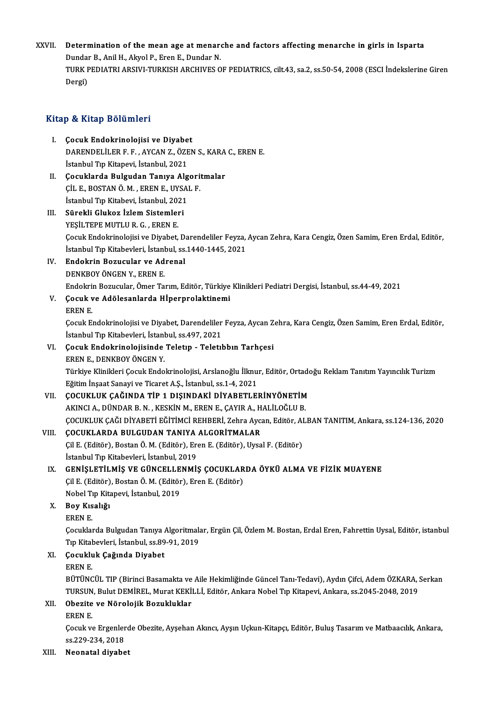XXVII. Determination of the mean age at menarche and factors affecting menarche in girls in Isparta Determination of the mean age at menare<br>Dundar B., Anil H., Akyol P., Eren E., Dundar N.<br>TURK REDIATRI ARSIVI TURKISH ARCHIVES O TURK PEDIATRI ARSIVI-TURKISH ARCHIVES OF PEDIATRICS, cilt.43, sa.2, ss.50-54, 2008 (ESCI İndekslerine Giren<br>Dergi) Dundaı<br>TURK F<br>Dergi)

## Kitap & Kitap Bölümleri

- Itap & Kitap Bölümleri<br>I. Çocuk Endokrinolojisi ve Diyabet<br>DARENDELÜERE E. AVCAN Z. ÖZEN DARENDELİLER F. F. , AYCAN Z., ÖZEN S., KARA C., EREN E.<br>İstanbul Tıp Kitapevi, İstanbul, 2021 Çocuk Endokrinolojisi ve Diyabe<br>DARENDELİLER F. F. , AYCAN Z., ÖZE<br>İstanbul Tıp Kitapevi, İstanbul, 2021<br>Cosuklanda Bulgudan Tanıya Alg DARENDELİLER F. F., AYCAN Z., ÖZEN S., KARA<br>İstanbul Tıp Kitapevi, İstanbul, 2021<br>II. Cocuklarda Bulgudan Tanıya Algoritmalar<br>CU E. POSTAN Ö.M., EREN E. UYSAL E
- İstanbul Tıp Kitapevi, İstanbul, 2021<br>Çocuklarda Bulgudan Tanıya Algori<br>ÇİL E., BOSTAN Ö.M. , EREN E., UYSAL F.<br>İstanbul Tın Kitabevi, İstanbul 2021 Çocuklarda Bulgudan Tanıya Alg<br>ÇİL E., BOSTAN Ö.M. , EREN E., UYSAl<br>İstanbul Tıp Kitabevi, İstanbul, 2021<br>Sünakli Clukar İrlam Sistamlari CIL E., BOSTAN Ö. M. , EREN E., UYSAL F.<br>Istanbul Tıp Kitabevi, İstanbul, 2021<br>III. Sürekli Glukoz İzlem Sistemleri<br>YESİLTEPE MUTLU R. G. , EREN E. İstanbul Tıp Kitabevi, İstanbul, 2021
- Sürekli Glukoz İzlem Sistemleri<br>YEŞİLTEPE MUTLU R. G. , EREN E.<br>Çocuk Endokrinolojisi ve Diyabet, Darendeliler Feyza, Aycan Zehra, Kara Cengiz, Özen Samim, Eren Erdal, Editör, YEŞİLTEPE MUTLU R. G. , EREN E.<br>Çocuk Endokrinolojisi ve Diyabet, Darendeliler Feyza,<br>İstanbul Tıp Kitabevleri, İstanbul, ss.1440-1445, 2021<br>Endokrin Bozusular ve Adrenal İstanbul Tıp Kitabevleri, İstanbul, ss.1440-1445, 2021
- IV. Endokrin Bozucular ve Adrenal Endokrin Bozucular ve Adrenal<br>DENKBOY ÖNGEN Y., EREN E.<br>Endokrin Bozucular, Ömer Tarım, Editör, Türkiye Klinikleri Pediatri Dergisi, İstanbul, ss.44-49, 2021<br>Cosuk ve Adölesanlarda Hinernrelaktinemi
- V. Çocuk ve Adölesanlarda Hİperprolaktinemi Endokri<br>**Çocuk v**<br>EREN E.<br>Cocuk E.

Çocuk ve Adölesanlarda Hİperprolaktinemi<br>EREN E.<br>Çocuk Endokrinolojisi ve Diyabet, Darendeliler Feyza, Aycan Zehra, Kara Cengiz, Özen Samim, Eren Erdal, Editör, EREN E.<br>Çocuk Endokrinolojisi ve Diyabet, Darendeliler<br>İstanbul Tıp Kitabevleri, İstanbul, ss.497, 2021<br>Çosuk Endekrinolojisinde Teletun, "Teletıl Cocuk Endokrinolojisi ve Diyabet, Darendeliler Feyza, Aycan Z<br>İstanbul Tıp Kitabevleri, İstanbul, ss.497, 2021<br>VI. Cocuk Endokrinolojisinde Teletıp - Teletıbbın Tarhçesi<br>FRRN F. DENKROV ÖNCEN V

# İstanbul Tıp Kitabevleri, İstanl<br>Çocuk Endokrinolojisinde<br>EREN E., DENKBOY ÖNGEN Y.<br>Türkiye Klinikleri Cesuk Endo

Çocuk Endokrinolojisinde Teletıp - Teletıbbın Tarhçesi<br>EREN E., DENKBOY ÖNGEN Y.<br>Türkiye Klinikleri Çocuk Endokrinolojisi, Arslanoğlu İlknur, Editör, Ortadoğu Reklam Tanıtım Yayıncılık Turizm<br>Fğitim İnsast Sanavi ve Tisane EREN E., DENKBOY ÖNGEN Y.<br>Türkiye Klinikleri Çocuk Endokrinolojisi, Arslanoğlu İlknu<br>Eğitim İnşaat Sanayi ve Ticaret A.Ş., İstanbul, ss.1-4, 2021<br>COCUKLUK GAĞINDA TİP 1 DISINDAKİ DİYAPETLEI Türkiye Klinikleri Çocuk Endokrinolojisi, Arslanoğlu İlknur, Editör, Ortado<br>Eğitim İnşaat Sanayi ve Ticaret A.Ş., İstanbul, ss.1-4, 2021<br>VII. GOCUKLUK ÇAĞINDA TİP 1 DIŞINDAKİ DİYABETLERİNYÖNETİM<br>AKINCLA DÜNDAR RAN KESKİN M

Eğitim İnşaat Sanayi ve Ticaret A.Ş., İstanbul, ss.1-4, 2021<br>ÇOCUKLUK ÇAĞINDA TİP 1 DIŞINDAKİ DİYABETLERİNYÖNETİM<br>AKINCI A., DÜNDAR B. N. , KESKİN M., EREN E., ÇAYIR A., HALİLOĞLU B.<br>COCUKLUK ÇAĞI DİYAPETİ FĞİTİMCİ PEHPERİ ÇOCUKLUK ÇAĞINDA TİP 1 DIŞINDAKİ DİYABETLERİNYÖNETİM<br>AKINCI A., DÜNDAR B. N. , KESKİN M., EREN E., ÇAYIR A., HALİLOĞLU B.<br>ÇOCUKLUK ÇAĞI DİYABETİ EĞİTİMCİ REHBERİ, Zehra Aycan, Editör, ALBAN TANITIM, Ankara, ss.124-136, 202 AKINCI A., DÜNDAR B. N., KESKİN M., EREN E., ÇAYIR A., H.<br>ÇOCUKLUK ÇAĞI DİYABETİ EĞİTİMCİ REHBERİ, Zehra Ayca<br>VIII. GOCUKLARDA BULGUDAN TANIYA ALGORİTMALAR ÇOCUKLUK ÇAĞI DİYABETİ EĞİTİMCİ REHBERİ, Zehra Aycan, Editör, AI<br>**ÇOCUKLARDA BULGUDAN TANIYA ALGORİTMALAR**<br>Çil E. (Editör), Bostan Ö. M. (Editör), Eren E. (Editör), Uysal F. (Editör)<br>İstanbul Tın Kitabeyleri, İstanbul, 201

**ÇOCUKLARDA BULGUDAN TANIYA**<br>Çil E. (Editör), Bostan Ö. M. (Editör), Ere<br>İstanbul Tıp Kitabevleri, İstanbul, 2019<br>CENİSLETİLMİS VE CÜNCELLENMİ

## Cil E. (Editör), Bostan Ö. M. (Editör), Eren E. (Editör), Uysal F. (Editör)<br>İstanbul Tıp Kitabevleri, İstanbul, 2019<br>IX. GENİŞLETİLMİŞ VE GÜNCELLENMİŞ ÇOCUKLARDA ÖYKÜ ALMA VE FİZİK MUAYENE<br>Cil E. (Editör), Bostan Ö. M. (Ed İstanbul Tıp Kitabevleri, İstanbul, 2019<br>GENİŞLETİLMİŞ VE GÜNCELLENMİŞ ÇOCUKLAR<br>Çil E. (Editör), Bostan Ö. M. (Editör), Eren E. (Editör)<br>Nobel Tın Kitanevi, İstanbul, 2019 GENİŞLETİLMİŞ VE GÜNCELLE<br>Çil E. (Editör), Bostan Ö. M. (Editör<br>Nobel Tıp Kitapevi, İstanbul, 2019<br>Boy Kısalığı Cil E. (Editör)<br>Nobel Tıp Kita<br>X. Boy Kısalığı

Nobel Ti<br>Boy Kis<br>EREN E.<br>Coculdat

Boy Kısalığı<br>EREN E.<br>Çocuklarda Bulgudan Tanıya Algoritmalar, Ergün Çil, Özlem M. Bostan, Erdal Eren, Fahrettin Uysal, Editör, istanbul<br>Tın Kitabevleri, İstanbul, 88 80,91, 2019. EREN E.<br>Çocuklarda Bulgudan Tanıya Algoritmala<br>Tıp Kitabevleri, İstanbul, ss.89-91, 2019<br>Çosukluk Çağında Diyabet Tıp Kitabevleri, İstanbul, ss.89-91, 2019

## XI. Çocukluk Çağında Diyabet

Çocukluk Çağında Diyabet<br>EREN E.<br>BÜTÜNCÜL TIP (Birinci Basamakta ve Aile Hekimliğinde Güncel Tanı-Tedavi), Aydın Çifci, Adem ÖZKARA, Serkan<br>TURSUN Pulut DEMİREL Muret KEKİLLİ, Editör, Ankara Nobel Tın Kitanevi, Ankara, 88. EREN E.<br>BÜTÜNCÜL TIP (Birinci Basamakta ve Aile Hekimliğinde Güncel Tanı-Tedavi), Aydın Çifci, Adem ÖZKARA, !<br>TURSUN, Bulut DEMİREL, Murat KEKİLLİ, Editör, Ankara Nobel Tıp Kitapevi, Ankara, ss.2045-2048, 2019<br>Oberite ve N XI . Obezite ve Nörolojik Bozukluklar TURSUN, Bulut DEMİREL, Murat KEKİLLİ, Editör, Ankara Nobel Tıp Kitapevi, Ankara, ss.2045-2048, 2019<br>XII. Obezite ve Nörolojik Bozukluklar<br>EREN E.

Obezite ve Nörolojik Bozukluklar<br>EREN E.<br>Çocuk ve Ergenlerde Obezite, Ayşehan Akıncı, Ayşın Uçkun-Kitapçı, Editör, Buluş Tasarım ve Matbaacılık, Ankara, EREN E.<br>Çocuk ve Ergenler<br>ss.229-234, 2018<br>Neonatal diveba

# ss.229-234, 2018<br>XIII. Neonatal diyabet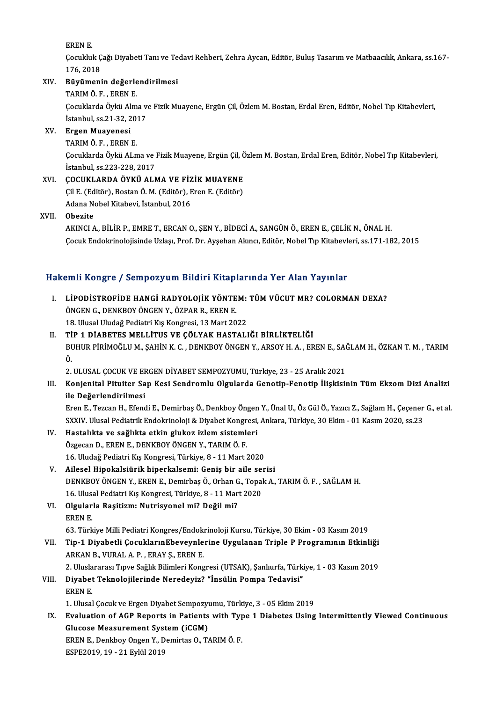ERENE.

EREN E.<br>Çocukluk Çağı Diyabeti Tanı ve Tedavi Rehberi, Zehra Aycan, Editör, Buluş Tasarım ve Matbaacılık, Ankara, ss.167-<br>176, 2018 EREN E.<br>Çocukluk Ç<br>176, 2018<br>Büyümeni Cocukluk Çağı Diyabeti Tanı ve Te<br>176, 2018<br>XIV. Büyümenin değerlendirilmesi<br>TABIMÖE ERENE

# 176, 2018<br>Büyümenin değerle<br>TARIM Ö. F. , EREN E.<br>Cosuklarda Öykü Alm

Büyümenin değerlendirilmesi<br>TARIM Ö. F. , EREN E.<br>Çocuklarda Öykü Alma ve Fizik Muayene, Ergün Çil, Özlem M. Bostan, Erdal Eren, Editör, Nobel Tıp Kitabevleri,<br>İstanbul 98.21.32.2017 TARIM Ö. F. , EREN E.<br>Çocuklarda Öykü Alma v<br>İstanbul, ss.21-32, 2017<br>Fraan Muayanasi

# İstanbul, ss.21-32, 2017<br>XV. Ergen Muayenesi

TARIMÖF. ERENE.

Ergen Muayenesi<br>TARIM Ö. F. , EREN E.<br>Çocuklarda Öykü ALma ve Fizik Muayene, Ergün Çil, Özlem M. Bostan, Erdal Eren, Editör, Nobel Tıp Kitabevleri,<br>İstanbul 98.222.229.2017 TARIM Ö. F. , EREN E.<br>Çocuklarda Öykü ALma ve l<br>İstanbul, ss.223-228, 2017<br>COCUKLARDA ÖYKÜ ALN İstanbul, ss.223-228, 2017<br>XVI. COCUKLARDA ÖYKÜ ALMA VE FİZİK MUAYENE

İstanbul, ss.223-228, 2017<br>ÇOCUKLARDA ÖYKÜ ALMA VE FİZİK MUAYENE<br>Çil E. (Editör), Bostan Ö. M. (Editör), Eren E. (Editör)<br>Adana Nabal Kitabayi, İstanbul, 2016 ÇOCUKLARDA ÖYKÜ ALMA VE FİZ<br>Çil E. (Editör), Bostan Ö. M. (Editör), E<br>Adana Nobel Kitabevi, İstanbul, 2016<br>Obegite Adana Nobel Kitabevi, İstanbul, 2016<br>XVII. **Obezite** 

AKINCIA.,BİLİRP.,EMRET.,ERCANO.,ŞENY.,BİDECİA.,SANGÜNÖ.,ERENE.,ÇELİKN.,ÖNALH. Çocuk Endokrinolojisinde Uzlaşı, Prof. Dr. Ayşehan Akıncı, Editör, Nobel Tıp Kitabevleri, ss.171-182, 2015

## Hakemli Kongre / Sempozyum Bildiri Kitaplarında Yer Alan Yayınlar

- akemli Kongre / Sempozyum Bildiri Kitaplarında Yer Alan Yayınlar<br>I. LİPODİSTROFİDE HANGİ RADYOLOJİK YÖNTEM: TÜM VÜCUT MR? COLORMAN DEXA?<br>ÖNCEN C. DENKROV ÖNCEN Y. ÖZRAR R. EREN E öngen version och politikans statt i tidap.<br>Lipodistrofide Hangi Radyolojik yönte<br>Öngen G., denkboy öngen Y., özpar R., eren E.<br>18. Ulucal Uludağ Bodiatri Kıs Kongresi, 13. Mart 20. LİPODİSTROFİDE HANGİ RADYOLOJİK YÖNTEM:<br>ÖNGEN G., DENKBOY ÖNGEN Y., ÖZPAR R., EREN E.<br>18. Ulusal Uludağ Pediatri Kış Kongresi, 13 Mart 2022<br>TİP 1 DİAPETES MELLİTUS VE ÇÖLYAK HASTALI ÖNGEN G., DENKBOY ÖNGEN Y., ÖZPAR R., EREN E.<br>18. Ulusal Uludağ Pediatri Kış Kongresi, 13 Mart 2022<br>II. TİP 1 DİABETES MELLİTUS VE CÖLYAK HASTALIĞI BİRLİKTELİĞİ
- 18. Ulusal Uludağ Pediatri Kış Kongresi, 13 Mart 2022<br>TİP 1 DİABETES MELLİTUS VE ÇÖLYAK HASTALIĞI BİRLİKTELİĞİ<br>BUHUR PİRİMOĞLU M., ŞAHİN K. C. , DENKBOY ÖNGEN Y., ARSOY H. A. , EREN E., SAĞLAM H., ÖZKAN T. M. , TARIM<br>Ö Tİ<br>Bl<br>Ö. BUHUR PİRİMOĞLU M., ŞAHİN K. C. , DENKBOY ÖNGEN Y., ARSOY H. A. , EREN E., SAÒ<br>Ö.<br>2. ULUSAL ÇOCUK VE ERGEN DİYABET SEMPOZYUMU, Türkiye, 23 - 25 Aralık 2021<br>Konianital Bituitar San Kasi Sandromlu Olaylarda Canatin Fanatin İ Ö.<br>2. ULUSAL ÇOCUK VE ERGEN DİYABET SEMPOZYUMU, Türkiye, 23 - 25 Aralık 2021<br>III. Konjenital Pituiter Sap Kesi Sendromlu Olgularda Genotip-Fenotip İlişkisinin Tüm Ekzom Dizi Analizi

ile Değerlendirilmesi Konjenital Pituiter Sap Kesi Sendromlu Olgularda Genotip-Fenotip İlişkisinin Tüm Ekzom Dizi Analizi<br>ile Değerlendirilmesi<br>Eren E., Tezcan H., Efendi E., Demirbaş Ö., Denkboy Öngen Y., Ünal U., Öz Gül Ö., Yazıcı Z., Sağlam

ile Değerlendirilmesi<br>Eren E., Tezcan H., Efendi E., Demirbaş Ö., Denkboy Öngen Y., Ünal U., Öz Gül Ö., Yazıcı Z., Sağlam H., Çeçener<br>SXXIV. Ulusal Pediatrik Endokrinoloji & Diyabet Kongresi, Ankara, Türkiye, 30 Ekim - 01 SXXIV. Ulusal Pediatrik Endokrinoloji & Diyabet Kongresi, Ankara, Türkiye, 30 Ekim - 01 Kasım 2020, ss.23

- IV. Hastalıkta ve sağlıkta etkin glukoz izlem sistemleri<br>Özgecan D., EREN E., DENKBOY ÖNGEN Y., TARIM Ö. F. 16. Uludağ Pediatri Kış Kongresi, Türkiye, 8 - 11 Mart 2020 Özgecan D., EREN E., DENKBOY ÖNGEN Y., TARIM Ö. F.<br>16. Uludağ Pediatri Kış Kongresi, Türkiye, 8 - 11 Mart 2020<br>V. Ailesel Hipokalsiürik hiperkalsemi: Geniş bir aile serisi<br>DENKBOY ÖNGEN Y. EREN E. Demirbas Ö. Orban G. Tena
- DENKBOY ÖNGEN Y., EREN E., Demirbaş Ö., Orhan G., Topak A., TARIM Ö. F. , SAĞLAM H.<br>16. Ulusal Pediatri Kış Kongresi, Türkiye, 8 11 Mart 2020 Ailesel Hipokalsiürik hiperkalsemi: Geniş bir aile se:<br>DENKBOY ÖNGEN Y., EREN E., Demirbaş Ö., Orhan G., Topal<br>16. Ulusal Pediatri Kış Kongresi, Türkiye, 8 - 11 Mart 2020<br>Olaylarla Pesitiam: Nutrisyanal mi? Değil mi? DENKBOY ÖNGEN Y., EREN E., Demirbaş Ö., Orhan G<br>16. Ulusal Pediatri Kış Kongresi, Türkiye, 8 - 11 Mar<br>VI. Olgularla Raşitizm: Nutrisyonel mi? Değil mi?<br>EREN E
- 16. Ulusa<br>**Olgular**<br>EREN E.<br>63. Türk 63. Türkiye Milli Pediatri Kongres/Endokrinoloji Kursu, Türkiye, 30 Ekim - 03 Kasım 2019<br>63. Türkiye Milli Pediatri Kongres/Endokrinoloji Kursu, Türkiye, 30 Ekim - 03 Kasım 2019

- EREN E.<br>63. Türkiye Milli Pediatri Kongres/Endokrinoloji Kursu, Türkiye, 30 Ekim 03 Kasım 2019<br>VII. Tip-1 Diyabetli ÇocuklarınEbeveynlerine Uygulanan Triple P Programının Etkinliği<br>ARKAN B. VURALA B. ERAV S. EREN E 63. Türkiye Milli Pediatri Kongres/Endok:<br>Tip-1 Diyabetli ÇocuklarınEbeveynle<br>ARKAN B., VURAL A. P. , ERAY Ş., EREN E.<br>2. Uluslaranes: Truve Seğlik Bilimleri Kong Tip-1 Diyabetli ÇocuklarınEbeveynlerine Uygulanan Triple P Programının Etkinliği<br>ARKAN B., VURAL A. P. , ERAY Ş., EREN E.<br>2. Uluslararası Tıpve Sağlık Bilimleri Kongresi (UTSAK), Şanlıurfa, Türkiye, 1 - 03 Kasım 2019<br>Diveb ARKAN B., VURAL A. P. , ERAY Ş., EREN E.<br>2. Uluslararası Tıpve Sağlık Bilimleri Kongresi (UTSAK), Şanlıurfa, Türki<br>VIII. Diyabet Teknolojilerinde Neredeyiz? "İnsülin Pompa Tedavisi"<br>EREN E
- 2. Uluslararası Tıpve Sağlık Bilimleri Kongresi (UTSAK), Şanlıurfa, Türkiye, 1 03 Kasım 2019<br>Diyabet Teknolojilerinde Neredeyiz? "İnsülin Pompa Tedavisi"<br>EREN E. Diyabet Teknolojilerinde Neredeyiz? "İnsülin Pompa Tedavisi"<br>EREN E.<br>1. Ulusal Çocuk ve Ergen Diyabet Sempozyumu, Türkiye, 3 - 05 Ekim 2019<br>Evalustion of AGB Benerts in Batients with Tyne 1 Dishetss Heing

EREN E.<br>1. Ulusal Çocuk ve Ergen Diyabet Sempozyumu, Türkiye, 3 - 05 Ekim 2019<br>IX. Evaluation of AGP Reports in Patients with Type 1 Diabetes Using Intermittently Viewed Continuous<br>Clusese Measurement System (iSCM) 1. Ulusal Çocuk ve Ergen Diyabet Sempozyumu, Türkiye, 3 - 05 Ekim 2019<br>Evaluation of AGP Reports in Patients with Type 1 Diabetes Using<br>Glucose Measurement System (iCGM)<br>EREN E., Denkboy Ongen Y., Demirtas O., TARIM Ö. F. Evaluation of AGP Reports in Patients with Typ<br>Glucose Measurement System (iCGM)<br>EREN E., Denkboy Ongen Y., Demirtas O., TARIMÖ.F.<br>ESPE2010-10 - 21 Evlül 2010 Glucose Measurement System (iCGM)<br>EREN E., Denkboy Ongen Y., Demirtas O., T.<br>ESPE2019, 19 - 21 Eylül 2019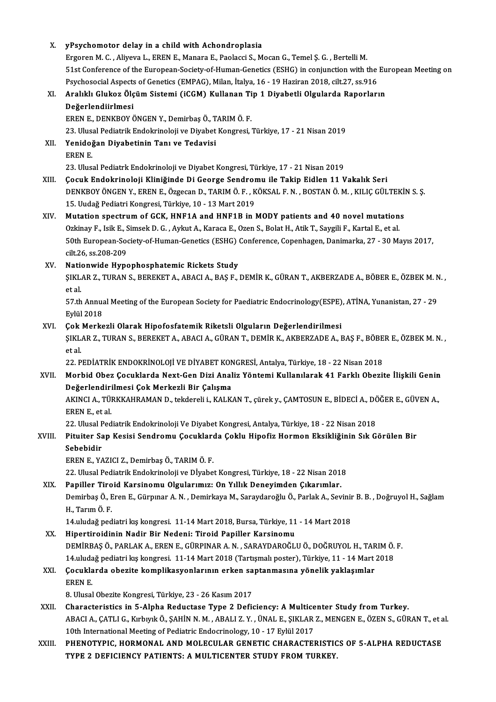| X.     | yPsychomotor delay in a child with Achondroplasia                                                                                                                                                                 |
|--------|-------------------------------------------------------------------------------------------------------------------------------------------------------------------------------------------------------------------|
|        | Ergoren M. C., Aliyeva L., EREN E., Manara E., Paolacci S., Mocan G., Temel S. G., Bertelli M.                                                                                                                    |
|        | 51st Conference of the European-Society-of-Human-Genetics (ESHG) in conjunction with the European Meeting on                                                                                                      |
|        | Psychosocial Aspects of Genetics (EMPAG), Milan, İtalya, 16 - 19 Haziran 2018, cilt.27, ss.916                                                                                                                    |
| XI.    | Aralıklı Glukoz Ölçüm Sistemi (iCGM) Kullanan Tip 1 Diyabetli Olgularda Raporların                                                                                                                                |
|        | Değerlendiirlmesi<br>EREN E., DENKBOY ÖNGEN Y., Demirbaş Ö., TARIM Ö. F.                                                                                                                                          |
|        |                                                                                                                                                                                                                   |
|        | 23. Ulusal Pediatrik Endokrinoloji ve Diyabet Kongresi, Türkiye, 17 - 21 Nisan 2019                                                                                                                               |
| XII.   | Yenidoğan Diyabetinin Tanı ve Tedavisi                                                                                                                                                                            |
|        | EREN E                                                                                                                                                                                                            |
|        | 23. Ulusal Pediatrk Endokrinoloji ve Diyabet Kongresi, Türkiye, 17 - 21 Nisan 2019                                                                                                                                |
| XIII.  | Çocuk Endokrinoloji Kliniğinde Di George Sendromu ile Takip Eidlen 11 Vakalık Seri                                                                                                                                |
|        | DENKBOY ÖNGEN Y., EREN E., Özgecan D., TARIM Ö. F., KÖKSAL F. N., BOSTAN Ö. M., KILIÇ GÜLTEKİN S. Ş.                                                                                                              |
|        | 15. Uudağ Pediatri Kongresi, Türkiye, 10 - 13 Mart 2019                                                                                                                                                           |
| XIV.   | Mutation spectrum of GCK, HNF1A and HNF1B in MODY patients and 40 novel mutations                                                                                                                                 |
|        | Ozkinay F., Isik E., Simsek D. G., Aykut A., Karaca E., Ozen S., Bolat H., Atik T., Saygili F., Kartal E., et al.                                                                                                 |
|        | 50th European-Society-of-Human-Genetics (ESHG) Conference, Copenhagen, Danimarka, 27 - 30 Mayıs 2017,                                                                                                             |
|        | cilt 26, ss 208-209                                                                                                                                                                                               |
| XV.    | Nationwide Hypophosphatemic Rickets Study                                                                                                                                                                         |
|        | ŞIKLAR Z., TURAN S., BEREKET A., ABACI A., BAŞ F., DEMİR K., GÜRAN T., AKBERZADE A., BÖBER E., ÖZBEK M. N.,                                                                                                       |
|        | et al.                                                                                                                                                                                                            |
|        | 57.th Annual Meeting of the European Society for Paediatric Endocrinology(ESPE), ATİNA, Yunanistan, 27 - 29                                                                                                       |
|        | Eylül 2018                                                                                                                                                                                                        |
| XVI.   | Çok Merkezli Olarak Hipofosfatemik Riketsli Olguların Değerlendirilmesi                                                                                                                                           |
|        | ŞIKLAR Z., TURAN S., BEREKET A., ABACI A., GÜRAN T., DEMİR K., AKBERZADE A., BAŞ F., BÖBER E., ÖZBEK M. N.,                                                                                                       |
|        | et al.<br>22. PEDİATRİK ENDOKRİNOLOJİ VE DİYABET KONGRESİ, Antalya, Türkiye, 18 - 22 Nisan 2018                                                                                                                   |
|        | Morbid Obez Çocuklarda Next-Gen Dizi Analiz Yöntemi Kullanılarak 41 Farklı Obezite İlişkili Genin                                                                                                                 |
| XVII.  |                                                                                                                                                                                                                   |
|        | Değerlendirilmesi Çok Merkezli Bir Çalışma<br>AKINCI A., TÜRKKAHRAMAN D., tekdereli i., KALKAN T., çürek y., ÇAMTOSUN E., BİDECİ A., DÖĞER E., GÜVEN A.,                                                          |
|        | EREN E, et al.                                                                                                                                                                                                    |
|        | 22. Ulusal Pediatrik Endokrinoloji Ve Diyabet Kongresi, Antalya, Türkiye, 18 - 22 Nisan 2018                                                                                                                      |
| XVIII. | Pituiter Sap Kesisi Sendromu Çocuklarda Çoklu Hipofiz Hormon Eksikliğinin Sık Görülen Bir                                                                                                                         |
|        | Sebebidir                                                                                                                                                                                                         |
|        | EREN E., YAZICI Z., Demirbas Ö., TARIM Ö. F.                                                                                                                                                                      |
|        | 22. Ulusal Pediatrik Endokrinoloji ve Dİyabet Kongresi, Türkiye, 18 - 22 Nisan 2018                                                                                                                               |
|        | Papiller Tiroid Karsinomu Olgularımız: On Yıllık Deneyimden Çıkarımlar.                                                                                                                                           |
| XIX.   | Demirbaş Ö., Eren E., Gürpınar A. N., Demirkaya M., Saraydaroğlu Ö., Parlak A., Sevinir B. B., Doğruyol H., Sağlam                                                                                                |
|        | H, Tarım Ö F                                                                                                                                                                                                      |
|        | 14 uludağ pediatri kış kongresi 11-14 Mart 2018, Bursa, Türkiye, 11 - 14 Mart 2018                                                                                                                                |
|        | Hipertiroidinin Nadir Bir Nedeni: Tiroid Papiller Karsinomu                                                                                                                                                       |
| XX.    | DEMIRBAŞ Ö., PARLAK A., EREN E., GÜRPINAR A. N., SARAYDAROĞLU Ö., DOĞRUYOL H., TARIM Ö. F.                                                                                                                        |
|        | 14.uludağ pediatri kış kongresi. 11-14 Mart 2018 (Tartışmalı poster), Türkiye, 11 - 14 Mart 2018                                                                                                                  |
| XXI.   | Çocuklarda obezite komplikasyonlarının erken saptanmasına yönelik yaklaşımlar                                                                                                                                     |
|        | EREN E                                                                                                                                                                                                            |
|        |                                                                                                                                                                                                                   |
|        | 8. Ulusal Obezite Kongresi, Türkiye, 23 - 26 Kasım 2017                                                                                                                                                           |
| XXII.  | Characteristics in 5-Alpha Reductase Type 2 Deficiency: A Multicenter Study from Turkey.<br>ABACI A., ÇATLI G., Kırbıyık Ö., ŞAHİN N. M. , ABALI Z. Y. , ÜNAL E., ŞIKLAR Z., MENGEN E., ÖZEN S., GÜRAN T., et al. |
|        |                                                                                                                                                                                                                   |
|        | 10th International Meeting of Pediatric Endocrinology, 10 - 17 Eylül 2017                                                                                                                                         |
| XXIII. | PHENOTYPIC, HORMONAL AND MOLECULAR GENETIC CHARACTERISTICS OF 5-ALPHA REDUCTASE                                                                                                                                   |
|        | TYPE 2 DEFICIENCY PATIENTS: A MULTICENTER STUDY FROM TURKEY.                                                                                                                                                      |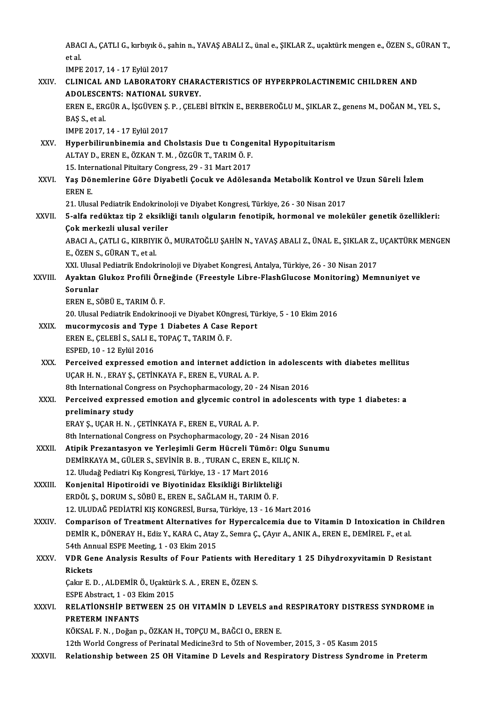ABACI A., ÇATLI G., kırbıyık ö., şahin n., YAVAŞ ABALI Z., ünal e., ŞIKLAR Z., uçaktürk mengen e., ÖZEN S., GÜRAN T.,<br>et el ABA<br>et al.<br>IMPE ABACI A., ÇATLI G., kırbıyık ö., ş<br>et al.<br>IMPE 2017, 14 - 17 Eylül 2017<br>CLINICAL, AND LABOBATOR

|              | et al                                                                                                      |
|--------------|------------------------------------------------------------------------------------------------------------|
|              | IMPE 2017, 14 - 17 Eylül 2017                                                                              |
| XXIV.        | CLINICAL AND LABORATORY CHARACTERISTICS OF HYPERPROLACTINEMIC CHILDREN AND                                 |
|              | ADOLESCENTS: NATIONAL SURVEY.                                                                              |
|              | EREN E., ERGÜR A., İŞGÜVEN Ş. P., ÇELEBİ BİTKİN E., BERBEROĞLU M., ŞIKLAR Z., genens M., DOĞAN M., YEL S., |
|              | BAŞ S, et al.                                                                                              |
|              | IMPE 2017, 14 - 17 Eylül 2017                                                                              |
| XXV -        | Hyperbilirunbinemia and Cholstasis Due ti Congenital Hypopituitarism                                       |
|              | ALTAY D., EREN E., ÖZKAN T. M., ÖZGÜR T., TARIM Ö. F.                                                      |
|              | 15. International Pituitary Congress, 29 - 31 Mart 2017                                                    |
| XXVI.        | Yaş Dönemlerine Göre Diyabetli Çocuk ve Adölesanda Metabolik Kontrol ve Uzun Süreli İzlem                  |
|              | EREN E.                                                                                                    |
|              | 21. Ulusal Pediatrik Endokrinoloji ve Diyabet Kongresi, Türkiye, 26 - 30 Nisan 2017                        |
| <b>XXVII</b> | 5-alfa redüktaz tip 2 eksikliği tanılı olguların fenotipik, hormonal ve moleküler genetik özellikleri:     |
|              | Çok merkezli ulusal veriler                                                                                |
|              | ABACI A., ÇATLI G., KIRBIYIK Ö., MURATOĞLU ŞAHİN N., YAVAŞ ABALI Z., ÜNAL E., ŞIKLAR Z., UÇAKTÜRK MENGEN   |
|              | E, ÖZEN S, GÜRAN T, et al.                                                                                 |
|              | XXI. Ulusal Pediatrik Endokrinoloji ve Diyabet Kongresi, Antalya, Türkiye, 26 - 30 Nisan 2017              |
| XXVIII.      | Ayaktan Glukoz Profili Örneğinde (Freestyle Libre-FlashGlucose Monitoring) Memnuniyet ve                   |
|              | Sorunlar                                                                                                   |
|              | EREN E., SÖBÜ E., TARIM Ö. F.                                                                              |
|              | 20. Ulusal Pediatrik Endokrinooji ve Diyabet KOngresi, Türkiye, 5 - 10 Ekim 2016                           |
| XXIX.        | mucormycosis and Type 1 Diabetes A Case Report                                                             |
|              | EREN E., ÇELEBİ S., SALI E., TOPAÇ T., TARIM Ö. F.                                                         |
|              | ESPED, 10 - 12 Eylül 2016                                                                                  |
| XXX.         | Perceived expressed emotion and internet addiction in adolescents with diabetes mellitus                   |
|              | UÇAR H. N., ERAY Ş., ÇETİNKAYA F., EREN E., VURAL A. P.                                                    |
|              | 8th International Congress on Psychopharmacology, 20 - 24 Nisan 2016                                       |
| XXXI.        | Perceived expressed emotion and glycemic control in adolescents with type 1 diabetes: a                    |
|              | preliminary study                                                                                          |
|              | ERAY Ș., UÇAR H. N., ÇETİNKAYA F., EREN E., VURAL A. P.                                                    |
|              | 8th International Congress on Psychopharmacology, 20 - 24 Nisan 2016                                       |
| XXXII.       | Atipik Prezantasyon ve Yerleşimli Germ Hücreli Tümör: Olgu Sunumu                                          |
|              | DEMİRKAYA M., GÜLER S., SEVİNİR B. B., TURAN C., EREN E., KILIÇ N.                                         |
|              | 12. Uludağ Pediatri Kış Kongresi, Türkiye, 13 - 17 Mart 2016                                               |
| XXXIII.      | Konjenital Hipotiroidi ve Biyotinidaz Eksikliği Birlikteliği                                               |
|              | ERDÖL Ş., DORUM S., SÖBÜ E., EREN E., SAĞLAM H., TARIM Ö. F.                                               |
|              | 12. ULUDAĞ PEDİATRİ KIŞ KONGRESİ, Bursa, Türkiye, 13 - 16 Mart 2016                                        |
| <b>XXXIV</b> | Comparison of Treatment Alternatives for Hypercalcemia due to Vitamin D Intoxication in Children           |
|              | DEMİR K., DÖNERAY H., Ediz Y., KARA C., Atay Z., Semra Ç., ÇAyır A., ANIK A., EREN E., DEMİREL F., et al.  |
|              | 54th Annual ESPE Meeting, 1 - 03 Ekim 2015                                                                 |
| <b>XXXV</b>  | VDR Gene Analysis Results of Four Patients with Hereditary 1 25 Dihydroxyvitamin D Resistant               |
|              | Rickets                                                                                                    |
|              | Çakır E. D., ALDEMİR Ö., Uçaktürk S. A., EREN E., ÖZEN S.                                                  |
|              | ESPE Abstract, 1 - 03 Ekim 2015                                                                            |
| <b>XXXVI</b> | RELATIONSHIP BETWEEN 25 OH VITAMIN D LEVELS and RESPIRATORY DISTRESS SYNDROME in                           |
|              | <b>PRETERM INFANTS</b>                                                                                     |
|              | KÖKSAL F. N., Doğan p., ÖZKAN H., TOPÇU M., BAĞCI O., EREN E.                                              |
|              | 12th World Congress of Perinatal Medicine3rd to 5th of November, 2015, 3 - 05 Kasım 2015                   |
| XXXVII.      | Relationship between 25 OH Vitamine D Levels and Respiratory Distress Syndrome in Preterm                  |
|              |                                                                                                            |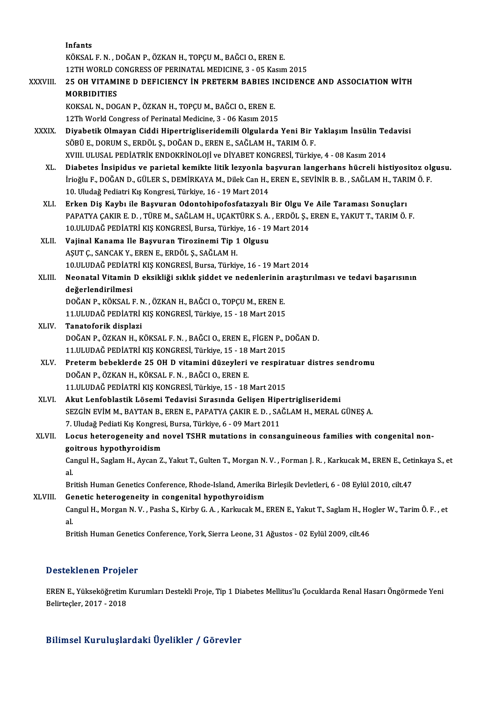|              | Infants                                                                                                                 |
|--------------|-------------------------------------------------------------------------------------------------------------------------|
|              | KÖKSAL F. N., DOĞAN P., ÖZKAN H., TOPÇU M., BAĞCI O., EREN E.                                                           |
|              | 12TH WORLD CONGRESS OF PERINATAL MEDICINE, 3 - 05 Kasım 2015                                                            |
| XXXVIII.     | 25 OH VITAMINE D DEFICIENCY IN PRETERM BABIES INCIDENCE AND ASSOCIATION WITH                                            |
|              | <b>MORBIDITIES</b>                                                                                                      |
|              | KOKSAL N., DOGAN P., ÖZKAN H., TOPÇU M., BAĞCI O., EREN E.                                                              |
|              | 12Th World Congress of Perinatal Medicine, 3 - 06 Kasım 2015                                                            |
| <b>XXXIX</b> | Diyabetik Olmayan Ciddi Hipertrigliseridemili Olgularda Yeni Bir Yaklaşım İnsülin Tedavisi                              |
|              | SÖBÜ E., DORUM S., ERDÖL Ş., DOĞAN D., EREN E., SAĞLAM H., TARIM Ö. F.                                                  |
|              | XVIII. ULUSAL PEDİATRİK ENDOKRİNOLOJİ ve DİYABET KONGRESİ, Türkiye, 4 - 08 Kasım 2014                                   |
| XL.          | Diabetes İnsipidus ve parietal kemikte litik lezyonla başvuran langerhans hücreli histiyositoz olgusu.                  |
|              | İrioğlu F., DOĞAN D., GÜLER S., DEMİRKAYA M., Dilek Can H., EREN E., SEVİNİR B. B. , SAĞLAM H., TARIM Ö. F.             |
|              | 10. Uludağ Pediatri Kış Kongresi, Türkiye, 16 - 19 Mart 2014                                                            |
| XLI.         | Erken Diş Kaybı ile Başvuran Odontohipofosfatazyalı Bir Olgu Ve Aile Taraması Sonuçları                                 |
|              | PAPATYA ÇAKIR E. D., TÜRE M., SAĞLAM H., UÇAKTÜRK S. A., ERDÖL Ş., EREN E., YAKUT T., TARIM Ö. F.                       |
|              | 10.ULUDAĞ PEDİATRİ KIŞ KONGRESİ, Bursa, Türkiye, 16 - 19 Mart 2014                                                      |
| XLII.        | Vajinal Kanama Ile Başvuran Tirozinemi Tip 1 Olgusu                                                                     |
|              | AŞUT Ç., SANCAK Y., EREN E., ERDÖL Ş., SAĞLAM H.                                                                        |
|              | 10.ULUDAĞ PEDİATRİ KIŞ KONGRESİ, Bursa, Türkiye, 16 - 19 Mart 2014                                                      |
| XLIII.       | Neonatal Vitamin D eksikliği sıklık şiddet ve nedenlerinin araştırılması ve tedavi başarısının                          |
|              | değerlendirilmesi                                                                                                       |
|              | DOĞAN P., KÖKSAL F. N., ÖZKAN H., BAĞCI O., TOPÇU M., EREN E.                                                           |
|              | 11.ULUDAĞ PEDİATRİ KIŞ KONGRESİ, Türkiye, 15 - 18 Mart 2015                                                             |
| XLIV.        | Tanatoforik displazi                                                                                                    |
|              | DOĞAN P., ÖZKAN H., KÖKSAL F. N., BAĞCI O., EREN E., FİGEN P., DOĞAN D.                                                 |
|              | 11.ULUDAĞ PEDİATRİ KIŞ KONGRESİ, Türkiye, 15 - 18 Mart 2015                                                             |
| XLV.         | Preterm bebeklerde 25 OH D vitamini düzeyleri ve respiratuar distres sendromu                                           |
|              | DOĞAN P., ÖZKAN H., KÖKSAL F. N., BAĞCI O., EREN E.                                                                     |
|              | 11. ULUDAĞ PEDİATRİ KIŞ KONGRESİ, Türkiye, 15 - 18 Mart 2015                                                            |
| XLVI.        | Akut Lenfoblastik Lösemi Tedavisi Sırasında Gelişen Hipertrigliseridemi                                                 |
|              | SEZGIN EVIM M., BAYTAN B., EREN E., PAPATYA ÇAKIR E. D., SAĞLAM H., MERAL GÜNEŞ A.                                      |
|              | 7. Uludağ Pediati Kış Kongresi, Bursa, Türkiye, 6 - 09 Mart 2011                                                        |
| XLVII.       | Locus heterogeneity and novel TSHR mutations in consanguineous families with congenital non-                            |
|              | goitrous hypothyroidism                                                                                                 |
|              | Cangul H., Saglam H., Aycan Z., Yakut T., Gulten T., Morgan N. V., Forman J. R., Karkucak M., EREN E., Cetinkaya S., et |
|              | al.                                                                                                                     |
|              | British Human Genetics Conference, Rhode-Island, Amerika Birleşik Devletleri, 6 - 08 Eylül 2010, cilt.47                |
| XLVIII.      | Genetic heterogeneity in congenital hypothyroidism                                                                      |
|              | Cangul H., Morgan N.V., Pasha S., Kirby G.A., Karkucak M., EREN E., Yakut T., Saglam H., Hogler W., Tarim Ö.F., et      |
|              | al.                                                                                                                     |
|              | British Human Genetics Conference, York, Sierra Leone, 31 Ağustos - 02 Eylül 2009, cilt.46                              |

## Desteklenen Projeler

EREN E., Yükseköğretim Kurumları Destekli Proje, Tip 1 Diabetes Mellitus'lu Çocuklarda Renal Hasarı Öngörmede Yeni Belirteçler,2017 -2018

## Bilimsel KuruluşlardakiÜyelikler / Görevler